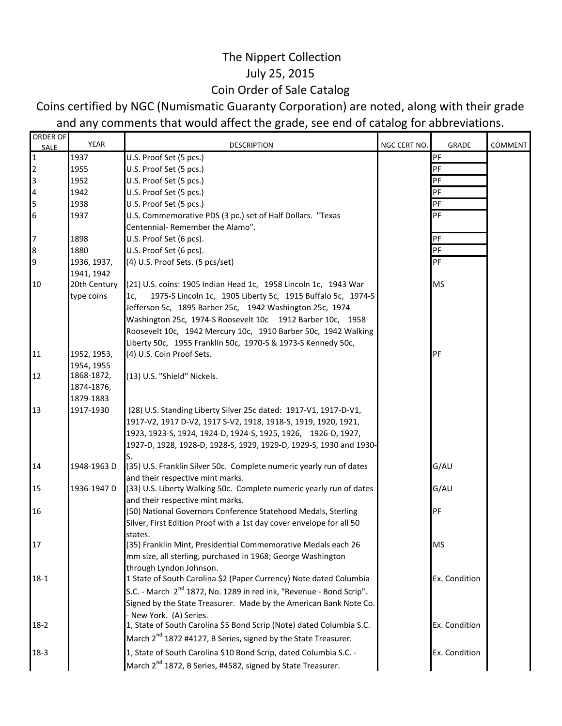## The Nippert Collection July 25, 2015 Coin Order of Sale Catalog

## Coins certified by NGC (Numismatic Guaranty Corporation) are noted, along with their grade and any comments that would affect the grade, see end of catalog for abbreviations.

| ORDER OF                | YEAR         | <b>DESCRIPTION</b>                                                              | NGC CERT NO. | <b>GRADE</b>  | COMMENT |
|-------------------------|--------------|---------------------------------------------------------------------------------|--------------|---------------|---------|
| SALE<br>$\overline{1}$  | 1937         | U.S. Proof Set (5 pcs.)                                                         |              | PF            |         |
| $\overline{2}$          | 1955         | U.S. Proof Set (5 pcs.)                                                         |              | PF            |         |
| 3                       | 1952         | U.S. Proof Set (5 pcs.)                                                         |              | PF            |         |
| $\overline{\mathbf{4}}$ | 1942         | U.S. Proof Set (5 pcs.)                                                         |              | PF            |         |
| 5                       | 1938         | U.S. Proof Set (5 pcs.)                                                         |              | PF            |         |
| $6\phantom{.}6$         | 1937         | U.S. Commemorative PDS (3 pc.) set of Half Dollars. "Texas                      |              | PF            |         |
|                         |              | Centennial- Remember the Alamo".                                                |              |               |         |
| $\overline{7}$          | 1898         | U.S. Proof Set (6 pcs).                                                         |              | PF            |         |
| 8                       | 1880         | U.S. Proof Set (6 pcs).                                                         |              | PF            |         |
| 9                       | 1936, 1937,  | (4) U.S. Proof Sets. (5 pcs/set)                                                |              | PF            |         |
|                         | 1941, 1942   |                                                                                 |              |               |         |
| 10                      | 20th Century | (21) U.S. coins: 1905 Indian Head 1c, 1958 Lincoln 1c, 1943 War                 |              | <b>MS</b>     |         |
|                         | type coins   | 1975-S Lincoln 1c, 1905 Liberty 5c, 1915 Buffalo 5c, 1974-S<br>1c               |              |               |         |
|                         |              | Jefferson 5c, 1895 Barber 25c, 1942 Washington 25c, 1974                        |              |               |         |
|                         |              | Washington 25c, 1974-S Roosevelt 10c 1912 Barber 10c, 1958                      |              |               |         |
|                         |              | Roosevelt 10c, 1942 Mercury 10c, 1910 Barber 50c, 1942 Walking                  |              |               |         |
|                         |              | Liberty 50c, 1955 Franklin 50c, 1970-S & 1973-S Kennedy 50c,                    |              |               |         |
| 11                      | 1952, 1953,  | (4) U.S. Coin Proof Sets.                                                       |              | PF            |         |
|                         | 1954, 1955   |                                                                                 |              |               |         |
| 12                      | 1868-1872,   | (13) U.S. "Shield" Nickels.                                                     |              |               |         |
|                         | 1874-1876,   |                                                                                 |              |               |         |
|                         | 1879-1883    |                                                                                 |              |               |         |
| 13                      | 1917-1930    | (28) U.S. Standing Liberty Silver 25c dated: 1917-V1, 1917-D-V1,                |              |               |         |
|                         |              | 1917-V2, 1917 D-V2, 1917 S-V2, 1918, 1918-S, 1919, 1920, 1921,                  |              |               |         |
|                         |              | 1923, 1923-S, 1924, 1924-D, 1924-S, 1925, 1926, 1926-D, 1927,                   |              |               |         |
|                         |              | 1927-D, 1928, 1928-D, 1928-S, 1929, 1929-D, 1929-S, 1930 and 1930-              |              |               |         |
| 14                      | 1948-1963 D  | (35) U.S. Franklin Silver 50c. Complete numeric yearly run of dates             |              | G/AU          |         |
|                         |              | and their respective mint marks.                                                |              |               |         |
| 15                      | 1936-1947 D  | (33) U.S. Liberty Walking 50c. Complete numeric yearly run of dates             |              | G/AU          |         |
|                         |              | and their respective mint marks.                                                |              |               |         |
| 16                      |              | (50) National Governors Conference Statehood Medals, Sterling                   |              | PF            |         |
|                         |              | Silver, First Edition Proof with a 1st day cover envelope for all 50            |              |               |         |
|                         |              | states.                                                                         |              |               |         |
| 1/                      |              | (35) Franklin Mint, Presidential Commemorative Medals each 26                   |              | MS.           |         |
|                         |              | mm size, all sterling, purchased in 1968; George Washington                     |              |               |         |
|                         |              | through Lyndon Johnson.                                                         |              |               |         |
| $18-1$                  |              | 1 State of South Carolina \$2 (Paper Currency) Note dated Columbia              |              | Ex. Condition |         |
|                         |              | S.C. - March 2 <sup>nd</sup> 1872, No. 1289 in red ink, "Revenue - Bond Scrip". |              |               |         |
|                         |              | Signed by the State Treasurer. Made by the American Bank Note Co.               |              |               |         |
|                         |              | - New York. (A) Series.                                                         |              |               |         |
| $18-2$                  |              | 1, State of South Carolina \$5 Bond Scrip (Note) dated Columbia S.C.            |              | Ex. Condition |         |
|                         |              | March 2 <sup>nd</sup> 1872 #4127, B Series, signed by the State Treasurer.      |              |               |         |
| $18-3$                  |              | 1, State of South Carolina \$10 Bond Scrip, dated Columbia S.C. -               |              | Ex. Condition |         |
|                         |              | March 2 <sup>nd</sup> 1872, B Series, #4582, signed by State Treasurer.         |              |               |         |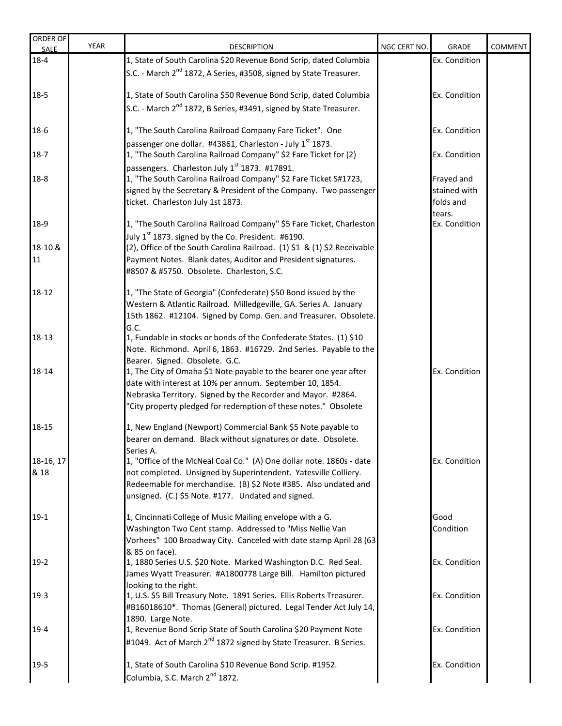| ORDER OF<br>SALE  | <b>YEAR</b> | <b>DESCRIPTION</b>                                                                                                                                                                                                                                                                                  | NGC CERT NO. | <b>GRADE</b>               | <b>COMMENT</b> |
|-------------------|-------------|-----------------------------------------------------------------------------------------------------------------------------------------------------------------------------------------------------------------------------------------------------------------------------------------------------|--------------|----------------------------|----------------|
| $18 - 4$          |             | 1, State of South Carolina \$20 Revenue Bond Scrip, dated Columbia                                                                                                                                                                                                                                  |              | Ex. Condition              |                |
|                   |             | S.C. - March 2 <sup>nd</sup> 1872, A Series, #3508, signed by State Treasurer.                                                                                                                                                                                                                      |              |                            |                |
| $18-5$            |             | 1, State of South Carolina \$50 Revenue Bond Scrip, dated Columbia                                                                                                                                                                                                                                  |              | Ex. Condition              |                |
|                   |             | S.C. - March 2 <sup>nd</sup> 1872, B Series, #3491, signed by State Treasurer.                                                                                                                                                                                                                      |              |                            |                |
| $18-6$            |             | 1, "The South Carolina Railroad Company Fare Ticket". One<br>passenger one dollar. #43861, Charleston - July 1 <sup>st</sup> 1873.                                                                                                                                                                  |              | Ex. Condition              |                |
| $18-7$            |             | 1, "The South Carolina Railroad Company" \$2 Fare Ticket for (2)                                                                                                                                                                                                                                    |              | Ex. Condition              |                |
| $18 - 8$          |             | passengers. Charleston July 1 <sup>st</sup> 1873. #17891.<br>1, "The South Carolina Railroad Company" \$2 Fare Ticket S#1723,<br>signed by the Secretary & President of the Company. Two passenger                                                                                                  |              | Frayed and<br>stained with |                |
|                   |             | ticket. Charleston July 1st 1873.                                                                                                                                                                                                                                                                   |              | folds and<br>tears.        |                |
| 18-9              |             | 1, "The South Carolina Railroad Company" \$5 Fare Ticket, Charleston<br>July 1 <sup>st</sup> 1873. signed by the Co. President. #6190.                                                                                                                                                              |              | Ex. Condition              |                |
| 18-10 &           |             | (2), Office of the South Carolina Railroad. (1) \$1 & (1) \$2 Receivable                                                                                                                                                                                                                            |              |                            |                |
| 11                |             | Payment Notes. Blank dates, Auditor and President signatures.<br>#8507 & #5750. Obsolete. Charleston, S.C.                                                                                                                                                                                          |              |                            |                |
| 18-12             |             | 1, "The State of Georgia" (Confederate) \$50 Bond issued by the<br>Western & Atlantic Railroad. Milledgeville, GA. Series A. January<br>15th 1862. #12104. Signed by Comp. Gen. and Treasurer. Obsolete.                                                                                            |              |                            |                |
| 18-13             |             | G.C.<br>1, Fundable in stocks or bonds of the Confederate States. (1) \$10<br>Note. Richmond. April 6, 1863. #16729. 2nd Series. Payable to the                                                                                                                                                     |              |                            |                |
| 18-14             |             | Bearer. Signed. Obsolete. G.C.<br>1, The City of Omaha \$1 Note payable to the bearer one year after<br>date with interest at 10% per annum. September 10, 1854.<br>Nebraska Territory. Signed by the Recorder and Mayor. #2864.<br>"City property pledged for redemption of these notes." Obsolete |              | Ex. Condition              |                |
| 18-15             |             | 1, New England (Newport) Commercial Bank \$5 Note payable to<br>bearer on demand. Black without signatures or date. Obsolete.                                                                                                                                                                       |              |                            |                |
| 18-16, 17<br>& 18 |             | Series A.<br>1, "Office of the McNeal Coal Co." (A) One dollar note. 1860s - date<br>not completed. Unsigned by Superintendent. Yatesville Colliery.<br>Redeemable for merchandise. (B) \$2 Note #385. Also undated and<br>unsigned. (C.) \$5 Note. #177. Undated and signed.                       |              | Ex. Condition              |                |
| $19-1$            |             | 1, Cincinnati College of Music Mailing envelope with a G.<br>Washington Two Cent stamp. Addressed to "Miss Nellie Van<br>Vorhees" 100 Broadway City. Canceled with date stamp April 28 (63                                                                                                          |              | Good<br>Condition          |                |
| $19-2$            |             | & 85 on face).<br>1, 1880 Series U.S. \$20 Note. Marked Washington D.C. Red Seal.<br>James Wyatt Treasurer. #A1800778 Large Bill. Hamilton pictured                                                                                                                                                 |              | Ex. Condition              |                |
| $19-3$            |             | looking to the right.<br>1, U.S. \$5 Bill Treasury Note. 1891 Series. Ellis Roberts Treasurer.<br>#B16018610*. Thomas (General) pictured. Legal Tender Act July 14,                                                                                                                                 |              | Ex. Condition              |                |
| $19 - 4$          |             | 1890. Large Note.<br>1, Revenue Bond Scrip State of South Carolina \$20 Payment Note<br>#1049. Act of March 2 <sup>nd</sup> 1872 signed by State Treasurer. B Series.                                                                                                                               |              | Ex. Condition              |                |
| $19 - 5$          |             | 1, State of South Carolina \$10 Revenue Bond Scrip. #1952.<br>Columbia, S.C. March 2 <sup>nd</sup> 1872.                                                                                                                                                                                            |              | Ex. Condition              |                |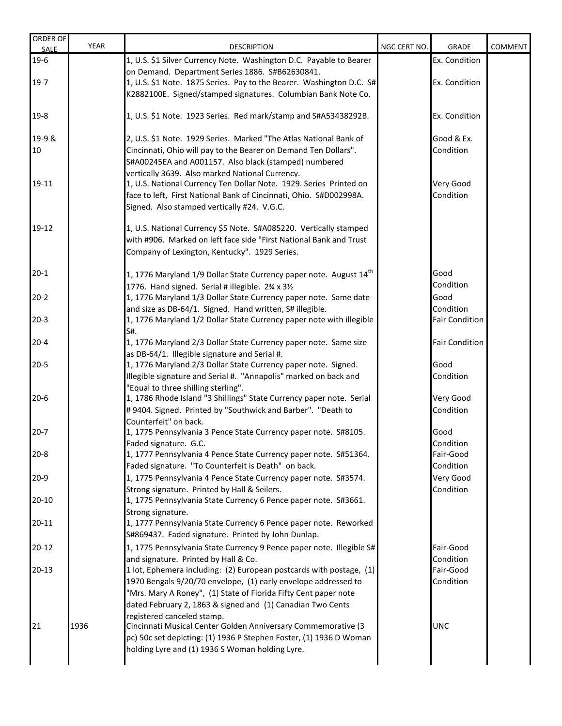| ORDER OF<br>SALE | <b>YEAR</b> | <b>DESCRIPTION</b>                                                             | NGC CERT NO. | GRADE                 | <b>COMMENT</b> |
|------------------|-------------|--------------------------------------------------------------------------------|--------------|-----------------------|----------------|
| $19-6$           |             | 1, U.S. \$1 Silver Currency Note. Washington D.C. Payable to Bearer            |              | Ex. Condition         |                |
|                  |             | on Demand. Department Series 1886. S#B62630841.                                |              |                       |                |
| $19-7$           |             | 1, U.S. \$1 Note. 1875 Series. Pay to the Bearer. Washington D.C. S#           |              | Ex. Condition         |                |
|                  |             | K2882100E. Signed/stamped signatures. Columbian Bank Note Co.                  |              |                       |                |
| $19-8$           |             | 1, U.S. \$1 Note. 1923 Series. Red mark/stamp and S#A53438292B.                |              | Ex. Condition         |                |
| 19-9 &           |             | 2, U.S. \$1 Note. 1929 Series. Marked "The Atlas National Bank of              |              | Good & Ex.            |                |
| 10               |             | Cincinnati, Ohio will pay to the Bearer on Demand Ten Dollars".                |              | Condition             |                |
|                  |             | S#A00245EA and A001157. Also black (stamped) numbered                          |              |                       |                |
|                  |             | vertically 3639. Also marked National Currency.                                |              |                       |                |
| 19-11            |             | 1, U.S. National Currency Ten Dollar Note. 1929. Series Printed on             |              | Very Good             |                |
|                  |             | face to left, First National Bank of Cincinnati, Ohio. S#D002998A.             |              | Condition             |                |
|                  |             | Signed. Also stamped vertically #24. V.G.C.                                    |              |                       |                |
| 19-12            |             | 1, U.S. National Currency \$5 Note. S#A085220. Vertically stamped              |              |                       |                |
|                  |             | with #906. Marked on left face side "First National Bank and Trust             |              |                       |                |
|                  |             | Company of Lexington, Kentucky". 1929 Series.                                  |              |                       |                |
| $20 - 1$         |             | 1, 1776 Maryland 1/9 Dollar State Currency paper note. August 14 <sup>th</sup> |              | Good                  |                |
|                  |             | 1776. Hand signed. Serial # illegible. 2% x 31/2                               |              | Condition             |                |
| $20-2$           |             | 1, 1776 Maryland 1/3 Dollar State Currency paper note. Same date               |              | Good                  |                |
|                  |             | and size as DB-64/1. Signed. Hand written, S# illegible.                       |              | Condition             |                |
| $20-3$           |             | 1, 1776 Maryland 1/2 Dollar State Currency paper note with illegible           |              | <b>Fair Condition</b> |                |
|                  |             | S#.                                                                            |              |                       |                |
| $20 - 4$         |             | 1, 1776 Maryland 2/3 Dollar State Currency paper note. Same size               |              | <b>Fair Condition</b> |                |
|                  |             | as DB-64/1. Illegible signature and Serial #.                                  |              |                       |                |
| $20 - 5$         |             | 1, 1776 Maryland 2/3 Dollar State Currency paper note. Signed.                 |              | Good                  |                |
|                  |             | Illegible signature and Serial #. "Annapolis" marked on back and               |              | Condition             |                |
|                  |             | "Equal to three shilling sterling".                                            |              |                       |                |
| $20-6$           |             | 1, 1786 Rhode Island "3 Shillings" State Currency paper note. Serial           |              | Very Good             |                |
|                  |             | #9404. Signed. Printed by "Southwick and Barber". "Death to                    |              | Condition             |                |
|                  |             | Counterfeit" on back.                                                          |              |                       |                |
| $20 - 7$         |             | 1, 1775 Pennsylvania 3 Pence State Currency paper note. S#8105.                |              | Good                  |                |
|                  |             | Faded signature. G.C.                                                          |              | Condition             |                |
| $20 - 8$         |             | 1, 1777 Pennsylvania 4 Pence State Currency paper note. S#51364.               |              | Fair-Good             |                |
|                  |             | Faded signature. "To Counterfeit is Death" on back.                            |              | Condition             |                |
| $20-9$           |             | 1, 1775 Pennsylvania 4 Pence State Currency paper note. S#3574.                |              | Very Good             |                |
|                  |             | Strong signature. Printed by Hall & Seilers.                                   |              | Condition             |                |
| $20 - 10$        |             | 1, 1775 Pennsylvania State Currency 6 Pence paper note. S#3661.                |              |                       |                |
|                  |             | Strong signature.                                                              |              |                       |                |
| $20 - 11$        |             | 1, 1777 Pennsylvania State Currency 6 Pence paper note. Reworked               |              |                       |                |
|                  |             | S#869437. Faded signature. Printed by John Dunlap.                             |              |                       |                |
| $20 - 12$        |             | 1, 1775 Pennsylvania State Currency 9 Pence paper note. Illegible S#           |              | Fair-Good             |                |
|                  |             | and signature. Printed by Hall & Co.                                           |              | Condition             |                |
| $20-13$          |             | 1 lot, Ephemera including: (2) European postcards with postage, (1)            |              | Fair-Good             |                |
|                  |             | 1970 Bengals 9/20/70 envelope, (1) early envelope addressed to                 |              | Condition             |                |
|                  |             | "Mrs. Mary A Roney", (1) State of Florida Fifty Cent paper note                |              |                       |                |
|                  |             | dated February 2, 1863 & signed and (1) Canadian Two Cents                     |              |                       |                |
|                  |             | registered canceled stamp.                                                     |              |                       |                |
| 21               | 1936        | Cincinnati Musical Center Golden Anniversary Commemorative (3                  |              | <b>UNC</b>            |                |
|                  |             | pc) 50c set depicting: (1) 1936 P Stephen Foster, (1) 1936 D Woman             |              |                       |                |
|                  |             | holding Lyre and (1) 1936 S Woman holding Lyre.                                |              |                       |                |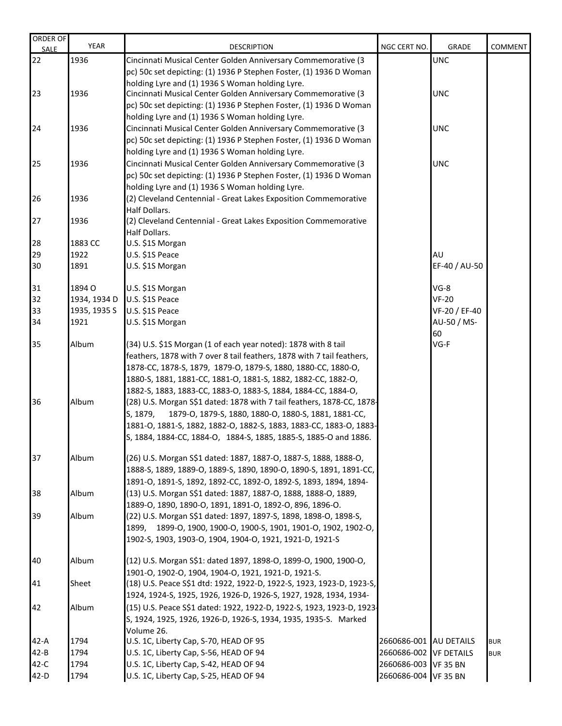| <b>ORDER OF</b><br><b>SALE</b> | <b>YEAR</b>  | <b>DESCRIPTION</b>                                                     | NGC CERT NO.           | GRADE         | COMMENT    |
|--------------------------------|--------------|------------------------------------------------------------------------|------------------------|---------------|------------|
| 22                             | 1936         | Cincinnati Musical Center Golden Anniversary Commemorative (3          |                        | <b>UNC</b>    |            |
|                                |              | pc) 50c set depicting: (1) 1936 P Stephen Foster, (1) 1936 D Woman     |                        |               |            |
|                                |              | holding Lyre and (1) 1936 S Woman holding Lyre.                        |                        |               |            |
| 23                             | 1936         | Cincinnati Musical Center Golden Anniversary Commemorative (3          |                        | <b>UNC</b>    |            |
|                                |              | pc) 50c set depicting: (1) 1936 P Stephen Foster, (1) 1936 D Woman     |                        |               |            |
|                                |              | holding Lyre and (1) 1936 S Woman holding Lyre.                        |                        |               |            |
| 24                             | 1936         | Cincinnati Musical Center Golden Anniversary Commemorative (3          |                        | <b>UNC</b>    |            |
|                                |              | pc) 50c set depicting: (1) 1936 P Stephen Foster, (1) 1936 D Woman     |                        |               |            |
|                                |              | holding Lyre and (1) 1936 S Woman holding Lyre.                        |                        |               |            |
| 25                             | 1936         | Cincinnati Musical Center Golden Anniversary Commemorative (3          |                        | <b>UNC</b>    |            |
|                                |              | pc) 50c set depicting: (1) 1936 P Stephen Foster, (1) 1936 D Woman     |                        |               |            |
|                                |              | holding Lyre and (1) 1936 S Woman holding Lyre.                        |                        |               |            |
|                                |              |                                                                        |                        |               |            |
| 26                             | 1936         | (2) Cleveland Centennial - Great Lakes Exposition Commemorative        |                        |               |            |
|                                |              | <b>Half Dollars.</b>                                                   |                        |               |            |
| 27                             | 1936         | (2) Cleveland Centennial - Great Lakes Exposition Commemorative        |                        |               |            |
|                                |              | Half Dollars.                                                          |                        |               |            |
| 28                             | 1883 CC      | U.S. \$1S Morgan                                                       |                        |               |            |
| 29                             | 1922         | U.S. \$1S Peace                                                        |                        | AU            |            |
| 30                             | 1891         | U.S. \$1S Morgan                                                       |                        | EF-40 / AU-50 |            |
|                                |              |                                                                        |                        |               |            |
| 31                             | 1894 O       | U.S. \$1S Morgan                                                       |                        | $VG-8$        |            |
| 32                             | 1934, 1934 D | U.S. \$1S Peace                                                        |                        | $VF-20$       |            |
| 33                             | 1935, 1935 S | U.S. \$1S Peace                                                        |                        | VF-20 / EF-40 |            |
| 34                             | 1921         | U.S. \$1S Morgan                                                       |                        | AU-50 / MS-   |            |
|                                |              |                                                                        |                        | 60            |            |
| 35                             | Album        | (34) U.S. \$1S Morgan (1 of each year noted): 1878 with 8 tail         |                        | VG-F          |            |
|                                |              | feathers, 1878 with 7 over 8 tail feathers, 1878 with 7 tail feathers, |                        |               |            |
|                                |              | 1878-CC, 1878-S, 1879, 1879-O, 1879-S, 1880, 1880-CC, 1880-O,          |                        |               |            |
|                                |              | 1880-S, 1881, 1881-CC, 1881-O, 1881-S, 1882, 1882-CC, 1882-O,          |                        |               |            |
|                                |              | 1882-S, 1883, 1883-CC, 1883-O, 1883-S, 1884, 1884-CC, 1884-O,          |                        |               |            |
| 36                             | Album        | (28) U.S. Morgan S\$1 dated: 1878 with 7 tail feathers, 1878-CC, 1878- |                        |               |            |
|                                |              | S, 1879,<br>1879-O, 1879-S, 1880, 1880-O, 1880-S, 1881, 1881-CC,       |                        |               |            |
|                                |              | 1881-O, 1881-S, 1882, 1882-O, 1882-S, 1883, 1883-CC, 1883-O, 1883-     |                        |               |            |
|                                |              | S, 1884, 1884-CC, 1884-O, 1884-S, 1885, 1885-S, 1885-O and 1886.       |                        |               |            |
|                                |              |                                                                        |                        |               |            |
| 37                             | Album        | (26) U.S. Morgan S\$1 dated: 1887, 1887-O, 1887-S, 1888, 1888-O,       |                        |               |            |
|                                |              | 1888-S, 1889, 1889-O, 1889-S, 1890, 1890-O, 1890-S, 1891, 1891-CC,     |                        |               |            |
|                                |              | 1891-0, 1891-S, 1892, 1892-CC, 1892-O, 1892-S, 1893, 1894, 1894-       |                        |               |            |
| 38                             | Album        | (13) U.S. Morgan S\$1 dated: 1887, 1887-O, 1888, 1888-O, 1889,         |                        |               |            |
|                                |              | 1889-0, 1890, 1890-0, 1891, 1891-0, 1892-0, 896, 1896-0.               |                        |               |            |
| 39                             | Album        | (22) U.S. Morgan S\$1 dated: 1897, 1897-S, 1898, 1898-O, 1898-S,       |                        |               |            |
|                                |              | 1899, 1899-O, 1900, 1900-O, 1900-S, 1901, 1901-O, 1902, 1902-O,        |                        |               |            |
|                                |              | 1902-S, 1903, 1903-O, 1904, 1904-O, 1921, 1921-D, 1921-S               |                        |               |            |
|                                |              |                                                                        |                        |               |            |
| 40                             | Album        | (12) U.S. Morgan S\$1: dated 1897, 1898-O, 1899-O, 1900, 1900-O,       |                        |               |            |
|                                |              | 1901-O, 1902-O, 1904, 1904-O, 1921, 1921-D, 1921-S.                    |                        |               |            |
| 41                             | Sheet        | (18) U.S. Peace S\$1 dtd: 1922, 1922-D, 1922-S, 1923, 1923-D, 1923-S,  |                        |               |            |
|                                |              | 1924, 1924-S, 1925, 1926, 1926-D, 1926-S, 1927, 1928, 1934, 1934-      |                        |               |            |
| 42                             | Album        | (15) U.S. Peace S\$1 dated: 1922, 1922-D, 1922-S, 1923, 1923-D, 1923-  |                        |               |            |
|                                |              | S, 1924, 1925, 1926, 1926-D, 1926-S, 1934, 1935, 1935-S. Marked        |                        |               |            |
|                                |              | Volume 26.                                                             |                        |               |            |
| $42-A$                         | 1794         | U.S. 1C, Liberty Cap, S-70, HEAD OF 95                                 | 2660686-001 AU DETAILS |               | <b>BUR</b> |
| $42 - B$                       | 1794         | U.S. 1C, Liberty Cap, S-56, HEAD OF 94                                 | 2660686-002 VF DETAILS |               | <b>BUR</b> |
| $42-C$                         | 1794         | U.S. 1C, Liberty Cap, S-42, HEAD OF 94                                 | 2660686-003 VF 35 BN   |               |            |
| $42-D$                         | 1794         | U.S. 1C, Liberty Cap, S-25, HEAD OF 94                                 | 2660686-004 VF 35 BN   |               |            |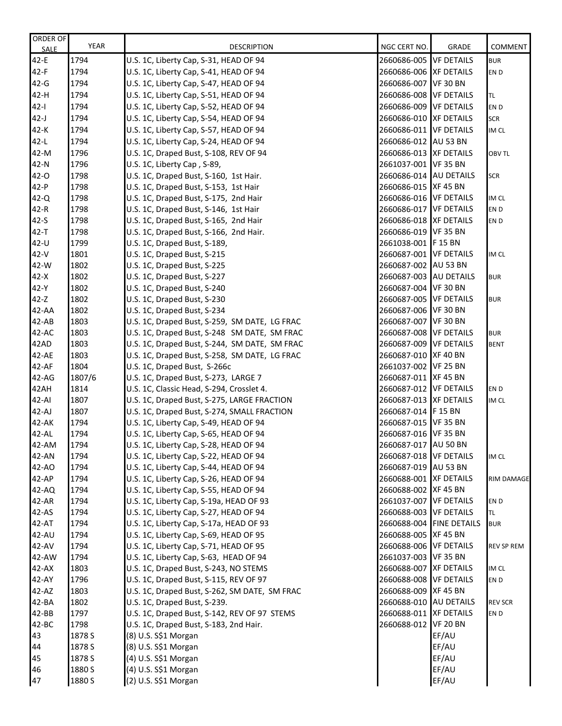| ORDER OF    | <b>YEAR</b> | <b>DESCRIPTION</b>                            | NGC CERT NO.           | GRADE                    | <b>COMMENT</b>    |
|-------------|-------------|-----------------------------------------------|------------------------|--------------------------|-------------------|
| <b>SALE</b> |             |                                               |                        |                          |                   |
| $42-E$      | 1794        | U.S. 1C, Liberty Cap, S-31, HEAD OF 94        | 2660686-005 VF DETAILS |                          | <b>BUR</b>        |
| $42-F$      | 1794        | U.S. 1C, Liberty Cap, S-41, HEAD OF 94        | 2660686-006 XF DETAILS |                          | EN D              |
| $42-G$      | 1794        | U.S. 1C, Liberty Cap, S-47, HEAD OF 94        | 2660686-007 VF 30 BN   |                          |                   |
| 42-H        | 1794        | U.S. 1C, Liberty Cap, S-51, HEAD OF 94        | 2660686-008 VF DETAILS |                          | TL.               |
| $42 - 1$    | 1794        | U.S. 1C, Liberty Cap, S-52, HEAD OF 94        | 2660686-009 VF DETAILS |                          | EN D              |
| $42-J$      | 1794        | U.S. 1C, Liberty Cap, S-54, HEAD OF 94        | 2660686-010 XF DETAILS |                          | <b>SCR</b>        |
| $42-K$      | 1794        | U.S. 1C, Liberty Cap, S-57, HEAD OF 94        | 2660686-011 VF DETAILS |                          | IM CL             |
| $42-L$      | 1794        | U.S. 1C, Liberty Cap, S-24, HEAD OF 94        | 2660686-012 AU 53 BN   |                          |                   |
| 42-M        | 1796        | U.S. 1C, Draped Bust, S-108, REV OF 94        | 2660686-013 XF DETAILS |                          | OBV TL            |
| 42-N        | 1796        | U.S. 1C, Liberty Cap, S-89,                   | 2661037-001 VF 35 BN   |                          |                   |
| $42-0$      | 1798        | U.S. 1C, Draped Bust, S-160, 1st Hair.        | 2660686-014 AU DETAILS |                          | SCR               |
| $42-P$      | 1798        | U.S. 1C, Draped Bust, S-153, 1st Hair         | 2660686-015 XF 45 BN   |                          |                   |
| $42 - Q$    | 1798        | U.S. 1C, Draped Bust, S-175, 2nd Hair         | 2660686-016 VF DETAILS |                          | IM CL             |
| $42-R$      | 1798        | U.S. 1C, Draped Bust, S-146, 1st Hair         | 2660686-017 VF DETAILS |                          | EN D              |
| $42-S$      | 1798        | U.S. 1C, Draped Bust, S-165, 2nd Hair         | 2660686-018 XF DETAILS |                          | EN D              |
| $42 - T$    | 1798        | U.S. 1C, Draped Bust, S-166, 2nd Hair.        | 2660686-019 VF 35 BN   |                          |                   |
| 42-U        | 1799        | U.S. 1C, Draped Bust, S-189,                  | 2661038-001 F 15 BN    |                          |                   |
| $42-V$      | 1801        | U.S. 1C, Draped Bust, S-215                   | 2660687-001 VF DETAILS |                          | IM CL             |
| 42-W        | 1802        | U.S. 1C, Draped Bust, S-225                   | 2660687-002 AU 53 BN   |                          |                   |
| $42-X$      | 1802        | U.S. 1C, Draped Bust, S-227                   | 2660687-003 AU DETAILS |                          | <b>BUR</b>        |
| 42-Y        | 1802        | U.S. 1C, Draped Bust, S-240                   | 2660687-004 VF 30 BN   |                          |                   |
| $42 - Z$    | 1802        | U.S. 1C, Draped Bust, S-230                   | 2660687-005 VF DETAILS |                          | <b>BUR</b>        |
| 42-AA       | 1802        | U.S. 1C, Draped Bust, S-234                   | 2660687-006 VF 30 BN   |                          |                   |
| $42 - AB$   | 1803        | U.S. 1C, Draped Bust, S-259, SM DATE, LG FRAC | 2660687-007 VF 30 BN   |                          |                   |
| 42-AC       | 1803        | U.S. 1C, Draped Bust, S-248 SM DATE, SM FRAC  | 2660687-008 VF DETAILS |                          | <b>BUR</b>        |
| 42AD        | 1803        | U.S. 1C, Draped Bust, S-244, SM DATE, SM FRAC | 2660687-009 VF DETAILS |                          | <b>BENT</b>       |
| 42-AE       | 1803        | U.S. 1C, Draped Bust, S-258, SM DATE, LG FRAC | 2660687-010 XF 40 BN   |                          |                   |
| 42-AF       | 1804        | U.S. 1C, Draped Bust, S-266c                  | 2661037-002 VF 25 BN   |                          |                   |
| 42-AG       | 1807/6      | U.S. 1C, Draped Bust, S-273, LARGE 7          | 2660687-011 XF 45 BN   |                          |                   |
| 42AH        | 1814        | U.S. 1C, Classic Head, S-294, Crosslet 4.     | 2660687-012 VF DETAILS |                          | EN D              |
| 42-AI       | 1807        | U.S. 1C, Draped Bust, S-275, LARGE FRACTION   | 2660687-013 XF DETAILS |                          | IM CL             |
| 42-AJ       | 1807        | U.S. 1C, Draped Bust, S-274, SMALL FRACTION   | 2660687-014 F 15 BN    |                          |                   |
| 42-AK       | 1794        | U.S. 1C, Liberty Cap, S-49, HEAD OF 94        | 2660687-015 VF 35 BN   |                          |                   |
| 42-AL       | 1794        | U.S. 1C, Liberty Cap, S-65, HEAD OF 94        | 2660687-016 VF 35 BN   |                          |                   |
| 42-AM       | 1794        | U.S. 1C, Liberty Cap, S-28, HEAD OF 94        | 2660687-017 AU 50 BN   |                          |                   |
| 42-AN       | 1794        | U.S. 1C, Liberty Cap, S-22, HEAD OF 94        | 2660687-018 VF DETAILS |                          | IM CL             |
| 42-AO       | 1794        | U.S. 1C, Liberty Cap, S-44, HEAD OF 94        | 2660687-019 AU 53 BN   |                          |                   |
| 42-AP       | 1794        | U.S. 1C, Liberty Cap, S-26, HEAD OF 94        | 2660688-001 XF DETAILS |                          | RIM DAMAGE        |
| 42-AQ       | 1794        | U.S. 1C, Liberty Cap, S-55, HEAD OF 94        | 2660688-002 XF 45 BN   |                          |                   |
| 42-AR       | 1794        | U.S. 1C, Liberty Cap, S-19a, HEAD OF 93       | 2661037-007 VF DETAILS |                          | EN <sub>D</sub>   |
| 42-AS       | 1794        | U.S. 1C, Liberty Cap, S-27, HEAD OF 94        | 2660688-003 VF DETAILS |                          | TL.               |
| 42-AT       | 1794        | U.S. 1C, Liberty Cap, S-17a, HEAD OF 93       |                        | 2660688-004 FINE DETAILS | <b>BUR</b>        |
| 42-AU       | 1794        | U.S. 1C, Liberty Cap, S-69, HEAD OF 95        | 2660688-005 XF 45 BN   |                          |                   |
| 42-AV       | 1794        | U.S. 1C, Liberty Cap, S-71, HEAD OF 95        | 2660688-006 VF DETAILS |                          | <b>REV SP REM</b> |
| 42-AW       | 1794        | U.S. 1C, Liberty Cap, S-63, HEAD OF 94        | 2661037-003 VF 35 BN   |                          |                   |
| $42 - AX$   | 1803        | U.S. 1C, Draped Bust, S-243, NO STEMS         | 2660688-007 XF DETAILS |                          | IM CL             |
| 42-AY       | 1796        | U.S. 1C, Draped Bust, S-115, REV OF 97        | 2660688-008 VF DETAILS |                          | EN D              |
| 42-AZ       | 1803        | U.S. 1C, Draped Bust, S-262, SM DATE, SM FRAC | 2660688-009 XF 45 BN   |                          |                   |
| 42-BA       | 1802        | U.S. 1C, Draped Bust, S-239.                  | 2660688-010 AU DETAILS |                          | <b>REV SCR</b>    |
| $42-BB$     | 1797        | U.S. 1C, Draped Bust, S-142, REV OF 97 STEMS  | 2660688-011 XF DETAILS |                          | EN D              |
| 42-BC       | 1798        | U.S. 1C, Draped Bust, S-183, 2nd Hair.        | 2660688-012 VF 20 BN   |                          |                   |
| 43          | 1878 S      | (8) U.S. S\$1 Morgan                          |                        | EF/AU                    |                   |
| 44          | 1878 S      | (8) U.S. S\$1 Morgan                          |                        | EF/AU                    |                   |
| 45          | 1878 S      | (4) U.S. S\$1 Morgan                          |                        | EF/AU                    |                   |
| 46          | 1880 S      | (4) U.S. S\$1 Morgan                          |                        | EF/AU                    |                   |
| 47          | 1880 S      | (2) U.S. S\$1 Morgan                          |                        | EF/AU                    |                   |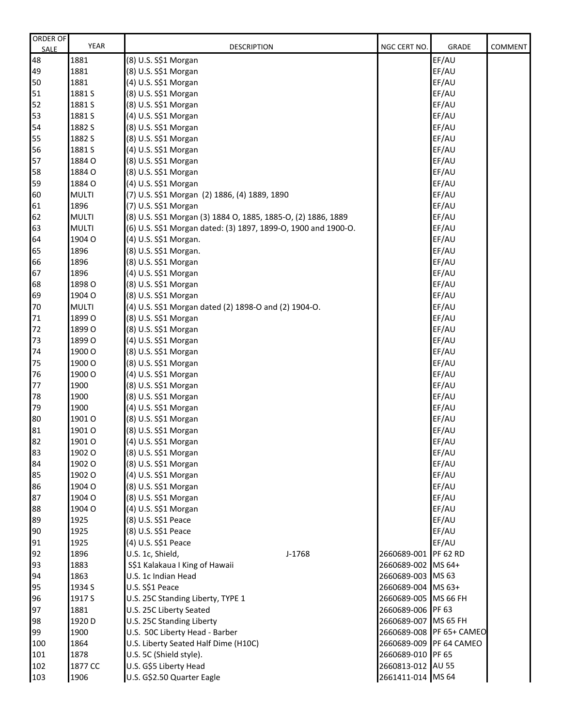| ORDER OF<br><b>SALE</b> | <b>YEAR</b>  | <b>DESCRIPTION</b>                                             | NGC CERT NO.         | <b>GRADE</b>             | <b>COMMENT</b> |
|-------------------------|--------------|----------------------------------------------------------------|----------------------|--------------------------|----------------|
| 48                      | 1881         | (8) U.S. S\$1 Morgan                                           |                      | EF/AU                    |                |
| 49                      | 1881         | (8) U.S. S\$1 Morgan                                           |                      | EF/AU                    |                |
| 50                      | 1881         | (4) U.S. S\$1 Morgan                                           |                      | EF/AU                    |                |
| 51                      | 1881 S       | (8) U.S. S\$1 Morgan                                           |                      | EF/AU                    |                |
| 52                      | 1881 S       | (8) U.S. S\$1 Morgan                                           |                      | EF/AU                    |                |
| 53                      | 1881 S       | (4) U.S. S\$1 Morgan                                           |                      | EF/AU                    |                |
| 54                      | 1882 S       | (8) U.S. S\$1 Morgan                                           |                      | EF/AU                    |                |
| 55                      | 1882 S       | (8) U.S. S\$1 Morgan                                           |                      | EF/AU                    |                |
| 56                      | 1881 S       | (4) U.S. S\$1 Morgan                                           |                      | EF/AU                    |                |
| 57                      | 1884 O       | (8) U.S. S\$1 Morgan                                           |                      | EF/AU                    |                |
| 58                      | 1884 O       | (8) U.S. S\$1 Morgan                                           |                      | EF/AU                    |                |
| 59                      | 1884 O       | (4) U.S. S\$1 Morgan                                           |                      | EF/AU                    |                |
| 60                      | <b>MULTI</b> | (7) U.S. S\$1 Morgan (2) 1886, (4) 1889, 1890                  |                      | EF/AU                    |                |
| 61                      | 1896         | (7) U.S. S\$1 Morgan                                           |                      | EF/AU                    |                |
| 62                      | <b>MULTI</b> | (8) U.S. S\$1 Morgan (3) 1884 O, 1885, 1885-O, (2) 1886, 1889  |                      | EF/AU                    |                |
| 63                      | <b>MULTI</b> | (6) U.S. S\$1 Morgan dated: (3) 1897, 1899-O, 1900 and 1900-O. |                      | EF/AU                    |                |
| 64                      | 1904 O       | (4) U.S. S\$1 Morgan.                                          |                      | EF/AU                    |                |
| 65                      | 1896         | (8) U.S. S\$1 Morgan.                                          |                      | EF/AU                    |                |
| 66                      | 1896         | (8) U.S. S\$1 Morgan                                           |                      | EF/AU                    |                |
| 67                      | 1896         | (4) U.S. S\$1 Morgan                                           |                      | EF/AU                    |                |
| 68                      | 1898 O       | (8) U.S. S\$1 Morgan                                           |                      | EF/AU                    |                |
| 69                      | 1904 O       | (8) U.S. S\$1 Morgan                                           |                      | EF/AU                    |                |
| 70                      | <b>MULTI</b> | (4) U.S. S\$1 Morgan dated (2) 1898-O and (2) 1904-O.          |                      | EF/AU                    |                |
| 71                      | 1899 O       | (8) U.S. S\$1 Morgan                                           |                      | EF/AU                    |                |
| 72                      | 1899 O       | (8) U.S. S\$1 Morgan                                           |                      | EF/AU                    |                |
| 73                      | 1899 O       | (4) U.S. S\$1 Morgan                                           |                      | EF/AU                    |                |
| 74                      | 1900 O       | (8) U.S. S\$1 Morgan                                           |                      | EF/AU                    |                |
| 75                      | 1900 O       | (8) U.S. S\$1 Morgan                                           |                      | EF/AU                    |                |
| 76                      | 1900 O       | (4) U.S. S\$1 Morgan                                           |                      | EF/AU                    |                |
| 77                      | 1900         | (8) U.S. S\$1 Morgan                                           |                      | EF/AU                    |                |
| 78                      | 1900         | (8) U.S. S\$1 Morgan                                           |                      | EF/AU                    |                |
| 79                      | 1900         | (4) U.S. S\$1 Morgan                                           |                      | EF/AU                    |                |
| 80                      | 1901 O       | (8) U.S. S\$1 Morgan                                           |                      | EF/AU                    |                |
| 81                      | 1901 O       | (8) U.S. S\$1 Morgan                                           |                      | EF/AU                    |                |
| 82                      | 1901 O       | (4) U.S. S\$1 Morgan                                           |                      | EF/AU                    |                |
| 83                      | 1902 O       | (8) U.S. S\$1 Morgan                                           |                      | EF/AU                    |                |
| 84                      | 1902 O       | (8) U.S. S\$1 Morgan                                           |                      | EF/AU                    |                |
| 85                      | 1902 O       | (4) U.S. S\$1 Morgan                                           |                      | EF/AU                    |                |
| 86                      | 1904 O       | (8) U.S. S\$1 Morgan                                           |                      | EF/AU                    |                |
| 87                      | 1904 O       | (8) U.S. S\$1 Morgan                                           |                      | EF/AU                    |                |
| 88                      | 1904 O       | (4) U.S. S\$1 Morgan                                           |                      | EF/AU                    |                |
| 89                      | 1925         | (8) U.S. S\$1 Peace                                            |                      | EF/AU                    |                |
| 90                      | 1925         | (8) U.S. S\$1 Peace                                            |                      | EF/AU                    |                |
| 91                      | 1925         | (4) U.S. S\$1 Peace                                            |                      | EF/AU                    |                |
| 92                      | 1896         | U.S. 1c, Shield,<br>J-1768                                     | 2660689-001 PF 62 RD |                          |                |
| 93                      | 1883         | S\$1 Kalakaua I King of Hawaii                                 | 2660689-002 MS 64+   |                          |                |
| 94                      | 1863         | U.S. 1c Indian Head                                            | 2660689-003 MS 63    |                          |                |
| 95                      | 1934 S       | U.S. S\$1 Peace                                                | 2660689-004 MS 63+   |                          |                |
| 96                      | 1917 S       | U.S. 25C Standing Liberty, TYPE 1                              | 2660689-005 MS 66 FH |                          |                |
| 97                      | 1881         | U.S. 25C Liberty Seated                                        | 2660689-006 PF 63    |                          |                |
| 98                      | 1920 D       | U.S. 25C Standing Liberty                                      | 2660689-007 MS 65 FH |                          |                |
| 99                      | 1900         | U.S. 50C Liberty Head - Barber                                 |                      | 2660689-008 PF 65+ CAMEO |                |
| 100                     | 1864         | U.S. Liberty Seated Half Dime (H10C)                           |                      | 2660689-009 PF 64 CAMEO  |                |
| 101                     | 1878         | U.S. 5C (Shield style).                                        | 2660689-010 PF 65    |                          |                |
| 102                     | 1877 CC      | U.S. G\$5 Liberty Head                                         | 2660813-012 AU 55    |                          |                |
| 103                     | 1906         | U.S. G\$2.50 Quarter Eagle                                     | 2661411-014 MS 64    |                          |                |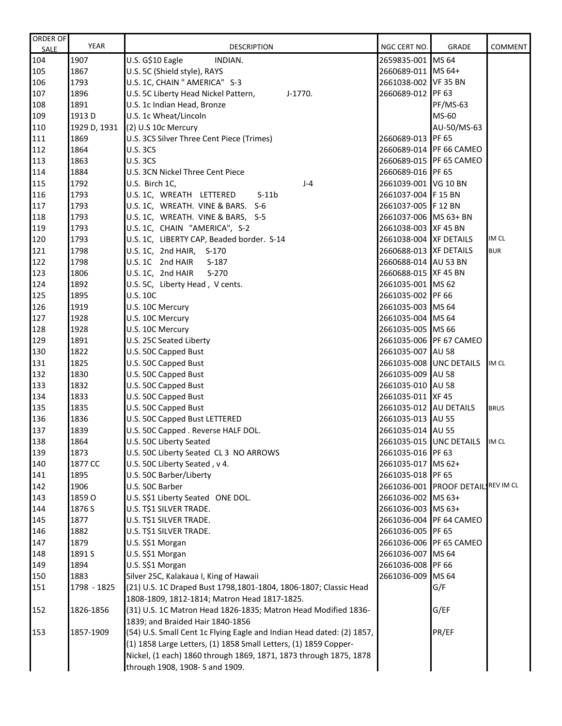| ORDER OF<br><b>SALE</b> | <b>YEAR</b>  | <b>DESCRIPTION</b>                                                    | NGC CERT NO.                                     | <b>GRADE</b>                       | <b>COMMENT</b> |
|-------------------------|--------------|-----------------------------------------------------------------------|--------------------------------------------------|------------------------------------|----------------|
| 104                     | 1907         | U.S. G\$10 Eagle<br>INDIAN.                                           | 2659835-001 MS 64                                |                                    |                |
| 105                     | 1867         | U.S. 5C (Shield style), RAYS                                          | 2660689-011 MS 64+                               |                                    |                |
| 106                     | 1793         | U.S. 1C, CHAIN " AMERICA" S-3                                         | 2661038-002 VF 35 BN                             |                                    |                |
| 107                     | 1896         | U.S. 5C Liberty Head Nickel Pattern,<br>J-1770.                       | 2660689-012 PF 63                                |                                    |                |
| 108                     | 1891         | U.S. 1c Indian Head, Bronze                                           |                                                  | <b>PF/MS-63</b>                    |                |
| 109                     | 1913 D       | U.S. 1c Wheat/Lincoln                                                 |                                                  | MS-60                              |                |
| 110                     | 1929 D, 1931 | (2) U.S 10c Mercury                                                   |                                                  | AU-50/MS-63                        |                |
| 111                     | 1869         | U.S. 3CS Silver Three Cent Piece (Trimes)                             | 2660689-013 PF 65                                |                                    |                |
| 112                     | 1864         | <b>U.S. 3CS</b>                                                       |                                                  | 2660689-014 PF 66 CAMEO            |                |
| 113                     | 1863         | <b>U.S. 3CS</b>                                                       |                                                  | 2660689-015 PF 65 CAMEO            |                |
| 114                     | 1884         | U.S. 3CN Nickel Three Cent Piece                                      | 2660689-016 PF 65                                |                                    |                |
| 115                     | 1792         | U.S. Birch 1C,<br>$J-4$                                               | 2661039-001 VG 10 BN                             |                                    |                |
| 116                     | 1793         | U.S. 1C, WREATH LETTERED<br>$S-11b$                                   | 2661037-004 F 15 BN                              |                                    |                |
| 117                     | 1793         | U.S. 1C, WREATH. VINE & BARS.<br>$S-6$                                | 2661037-005 F 12 BN                              |                                    |                |
| 118                     | 1793         | U.S. 1C, WREATH. VINE & BARS, S-5                                     | 2661037-006 MS 63+ BN                            |                                    |                |
| 119                     | 1793         | U.S. 1C, CHAIN "AMERICA", S-2                                         | 2661038-003 XF 45 BN                             |                                    |                |
| 120                     | 1793         | U.S. 1C, LIBERTY CAP, Beaded border. S-14                             |                                                  |                                    | IM CL          |
| 121                     | 1798         | U.S. 1C, 2nd HAIR, S-170                                              | 2661038-004 XF DETAILS<br>2660688-013 XF DETAILS |                                    | <b>BUR</b>     |
| 122                     | 1798         | U.S. 1C 2nd HAIR                                                      | 2660688-014 AU 53 BN                             |                                    |                |
| 123                     | 1806         | $S-187$<br>$S-270$                                                    | 2660688-015 XF 45 BN                             |                                    |                |
| 124                     |              | U.S. 1C, 2nd HAIR                                                     |                                                  |                                    |                |
|                         | 1892         | U.S. 5C, Liberty Head, V cents.                                       | 2661035-001 MS 62<br>2661035-002 PF 66           |                                    |                |
| 125                     | 1895         | <b>U.S. 10C</b>                                                       |                                                  |                                    |                |
| 126                     | 1919         | U.S. 10C Mercury                                                      | 2661035-003 MS 64                                |                                    |                |
| 127                     | 1928         | U.S. 10C Mercury                                                      | 2661035-004 MS 64                                |                                    |                |
| 128                     | 1928         | U.S. 10C Mercury                                                      | 2661035-005 MS 66                                |                                    |                |
| 129                     | 1891         | U.S. 25C Seated Liberty                                               |                                                  | 2661035-006 PF 67 CAMEO            |                |
| 130                     | 1822         | U.S. 50C Capped Bust                                                  | 2661035-007 AU 58                                |                                    |                |
| 131                     | 1825         | U.S. 50C Capped Bust                                                  | 2661035-008 UNC DETAILS                          |                                    | IM CL          |
| 132                     | 1830         | U.S. 50C Capped Bust                                                  | 2661035-009 AU 58                                |                                    |                |
| 133                     | 1832         | U.S. 50C Capped Bust                                                  | 2661035-010 AU 58                                |                                    |                |
| 134                     | 1833         | U.S. 50C Capped Bust                                                  | 2661035-011 XF 45                                |                                    |                |
| 135                     | 1835         | U.S. 50C Capped Bust                                                  | 2661035-012 AU DETAILS                           |                                    | <b>BRUS</b>    |
| 136                     | 1836         | U.S. 50C Capped Bust LETTERED                                         | 2661035-013 AU 55                                |                                    |                |
| 137                     | 1839         | U.S. 50C Capped . Reverse HALF DOL.                                   | 2661035-014 AU 55                                |                                    |                |
| 138                     | 1864         | U.S. 50C Liberty Seated                                               |                                                  | 2661035-015 UNC DETAILS IM CL      |                |
| 139                     | 1873         | U.S. 50C Liberty Seated CL 3 NO ARROWS                                | 2661035-016 PF 63                                |                                    |                |
| 140                     | 1877 CC      | U.S. 50C Liberty Seated, v 4.                                         | 2661035-017 MS 62+                               |                                    |                |
| 141                     | 1895         | U.S. 50C Barber/Liberty                                               | 2661035-018 PF 65                                |                                    |                |
| 142                     | 1906         | U.S. 50C Barber                                                       |                                                  | 2661036-001 PROOF DETAILIREV IM CL |                |
| 143                     | 1859 O       | U.S. S\$1 Liberty Seated ONE DOL.                                     | 2661036-002 MS 63+                               |                                    |                |
| 144                     | 1876 S       | U.S. T\$1 SILVER TRADE.                                               | 2661036-003 MS 63+                               |                                    |                |
| 145                     | 1877         | U.S. T\$1 SILVER TRADE.                                               |                                                  | 2661036-004 PF 64 CAMEO            |                |
| 146                     | 1882         | U.S. T\$1 SILVER TRADE.                                               | 2661036-005 PF 65                                |                                    |                |
| 147                     | 1879         | U.S. S\$1 Morgan                                                      |                                                  | 2661036-006 PF 65 CAMEO            |                |
| 148                     | 1891 S       | U.S. S\$1 Morgan                                                      | 2661036-007 MS 64                                |                                    |                |
| 149                     | 1894         | U.S. S\$1 Morgan                                                      | 2661036-008 PF 66                                |                                    |                |
| 150                     | 1883         | Silver 25C, Kalakaua I, King of Hawaii                                | 2661036-009 MS 64                                |                                    |                |
| 151                     | 1798 - 1825  | (21) U.S. 1C Draped Bust 1798,1801-1804, 1806-1807; Classic Head      |                                                  | G/F                                |                |
|                         |              | 1808-1809, 1812-1814; Matron Head 1817-1825.                          |                                                  |                                    |                |
| 152                     | 1826-1856    | (31) U.S. 1C Matron Head 1826-1835; Matron Head Modified 1836-        |                                                  | G/EF                               |                |
|                         |              | 1839; and Braided Hair 1840-1856                                      |                                                  |                                    |                |
| 153                     | 1857-1909    | (54) U.S. Small Cent 1c Flying Eagle and Indian Head dated: (2) 1857, |                                                  | PR/EF                              |                |
|                         |              | (1) 1858 Large Letters, (1) 1858 Small Letters, (1) 1859 Copper-      |                                                  |                                    |                |
|                         |              | Nickel, (1 each) 1860 through 1869, 1871, 1873 through 1875, 1878     |                                                  |                                    |                |
|                         |              | through 1908, 1908- S and 1909.                                       |                                                  |                                    |                |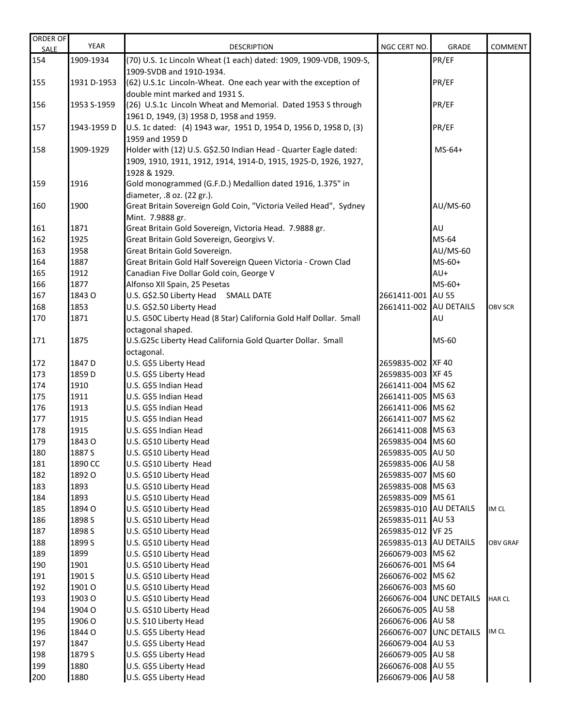| ORDER OF<br><b>SALE</b> | YEAR        | <b>DESCRIPTION</b>                                                 | NGC CERT NO.            | <b>GRADE</b>            | <b>COMMENT</b>  |
|-------------------------|-------------|--------------------------------------------------------------------|-------------------------|-------------------------|-----------------|
| 154                     | 1909-1934   | (70) U.S. 1c Lincoln Wheat (1 each) dated: 1909, 1909-VDB, 1909-S, |                         | PR/EF                   |                 |
|                         |             | 1909-SVDB and 1910-1934.                                           |                         |                         |                 |
| 155                     | 1931 D-1953 | (62) U.S.1c Lincoln-Wheat. One each year with the exception of     |                         | PR/EF                   |                 |
|                         |             | double mint marked and 1931 S.                                     |                         |                         |                 |
| 156                     | 1953 S-1959 | (26) U.S.1c Lincoln Wheat and Memorial. Dated 1953 S through       |                         | PR/EF                   |                 |
|                         |             | 1961 D, 1949, (3) 1958 D, 1958 and 1959.                           |                         |                         |                 |
| 157                     | 1943-1959 D | U.S. 1c dated: (4) 1943 war, 1951 D, 1954 D, 1956 D, 1958 D, (3)   |                         | PR/EF                   |                 |
|                         |             | 1959 and 1959 D                                                    |                         |                         |                 |
| 158                     | 1909-1929   | Holder with (12) U.S. G\$2.50 Indian Head - Quarter Eagle dated:   |                         | $MS-64+$                |                 |
|                         |             | 1909, 1910, 1911, 1912, 1914, 1914-D, 1915, 1925-D, 1926, 1927,    |                         |                         |                 |
|                         |             | 1928 & 1929.                                                       |                         |                         |                 |
| 159                     | 1916        | Gold monogrammed (G.F.D.) Medallion dated 1916, 1.375" in          |                         |                         |                 |
|                         |             | diameter, .8 oz. (22 gr.).                                         |                         |                         |                 |
| 160                     | 1900        | Great Britain Sovereign Gold Coin, "Victoria Veiled Head", Sydney  |                         | AU/MS-60                |                 |
|                         |             | Mint. 7.9888 gr.                                                   |                         |                         |                 |
| 161                     | 1871        | Great Britain Gold Sovereign, Victoria Head. 7.9888 gr.            |                         | AU                      |                 |
| 162                     | 1925        | Great Britain Gold Sovereign, Georgivs V.                          |                         | MS-64                   |                 |
| 163                     | 1958        | Great Britain Gold Sovereign.                                      |                         | <b>AU/MS-60</b>         |                 |
| 164                     | 1887        | Great Britain Gold Half Sovereign Queen Victoria - Crown Clad      |                         | $MS-60+$                |                 |
| 165                     | 1912        | Canadian Five Dollar Gold coin, George V                           |                         | AU+                     |                 |
| 166                     | 1877        | Alfonso XII Spain, 25 Pesetas                                      |                         | $MS-60+$                |                 |
| 167                     | 1843 O      | U.S. G\$2.50 Liberty Head SMALL DATE                               | 2661411-001 AU 55       |                         |                 |
| 168                     | 1853        | U.S. G\$2.50 Liberty Head                                          | 2661411-002 AU DETAILS  |                         | <b>OBV SCR</b>  |
| 170                     | 1871        | U.S. G50C Liberty Head (8 Star) California Gold Half Dollar. Small |                         | AU                      |                 |
|                         |             | octagonal shaped.                                                  |                         |                         |                 |
| 171                     | 1875        | U.S.G25c Liberty Head California Gold Quarter Dollar. Small        |                         | MS-60                   |                 |
|                         |             | octagonal.                                                         |                         |                         |                 |
| 172                     | 1847 D      | U.S. G\$5 Liberty Head                                             | 2659835-002 XF 40       |                         |                 |
| 173                     | 1859 D      | U.S. G\$5 Liberty Head                                             | 2659835-003 XF 45       |                         |                 |
| 174                     | 1910        | U.S. G\$5 Indian Head                                              | 2661411-004 MS 62       |                         |                 |
| 175                     | 1911        | U.S. G\$5 Indian Head                                              | 2661411-005 MS 63       |                         |                 |
| 176                     | 1913        | U.S. G\$5 Indian Head                                              | 2661411-006 MS 62       |                         |                 |
| 177                     | 1915        | U.S. G\$5 Indian Head                                              | 2661411-007 MS 62       |                         |                 |
| 178                     | 1915        | U.S. G\$5 Indian Head                                              | 2661411-008 MS 63       |                         |                 |
| 179                     | 1843 O      | U.S. G\$10 Liberty Head                                            | 2659835-004 MS 60       |                         |                 |
| 180                     | 1887 S      | U.S. G\$10 Liberty Head                                            | 2659835-005 AU 50       |                         |                 |
| 181                     | 1890 CC     | U.S. G\$10 Liberty Head                                            | 2659835-006 AU 58       |                         |                 |
| 182                     | 1892 O      | U.S. G\$10 Liberty Head                                            | 2659835-007 MS 60       |                         |                 |
| 183                     | 1893        | U.S. G\$10 Liberty Head                                            | 2659835-008 MS 63       |                         |                 |
| 184                     | 1893        | U.S. G\$10 Liberty Head                                            | 2659835-009 MS 61       |                         |                 |
| 185                     | 1894 O      | U.S. G\$10 Liberty Head                                            | 2659835-010 AU DETAILS  |                         | IM CL           |
| 186                     | 1898 S      | U.S. G\$10 Liberty Head                                            | 2659835-011 AU 53       |                         |                 |
| 187                     | 1898 S      | U.S. G\$10 Liberty Head                                            | 2659835-012 VF 25       |                         |                 |
| 188                     | 1899 S      | U.S. G\$10 Liberty Head                                            | 2659835-013 AU DETAILS  |                         | <b>OBV GRAF</b> |
| 189                     | 1899        | U.S. G\$10 Liberty Head                                            | 2660679-003 MS 62       |                         |                 |
| 190                     | 1901        | U.S. G\$10 Liberty Head                                            | 2660676-001 MS 64       |                         |                 |
| 191                     | 1901 S      | U.S. G\$10 Liberty Head                                            | 2660676-002 MS 62       |                         |                 |
| 192                     | 1901 O      | U.S. G\$10 Liberty Head                                            | 2660676-003 MS 60       |                         |                 |
| 193                     | 1903 O      | U.S. G\$10 Liberty Head                                            | 2660676-004 UNC DETAILS |                         | <b>HAR CL</b>   |
| 194                     | 1904 O      | U.S. G\$10 Liberty Head                                            | 2660676-005 AU 58       |                         |                 |
| 195                     | 1906 O      | U.S. \$10 Liberty Head                                             | 2660676-006 AU 58       |                         |                 |
| 196                     | 1844 O      | U.S. G\$5 Liberty Head                                             |                         | 2660676-007 UNC DETAILS | IM CL           |
| 197                     | 1847        | U.S. G\$5 Liberty Head                                             | 2660679-004 AU 53       |                         |                 |
| 198                     | 1879 S      | U.S. G\$5 Liberty Head                                             | 2660679-005 AU 58       |                         |                 |
| 199                     | 1880        | U.S. G\$5 Liberty Head                                             | 2660676-008 AU 55       |                         |                 |
| 200                     | 1880        | U.S. G\$5 Liberty Head                                             | 2660679-006 AU 58       |                         |                 |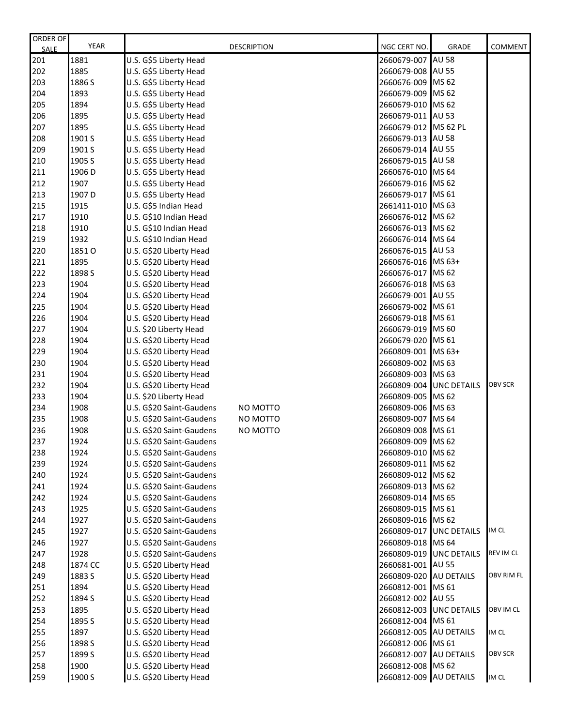| ORDER OF    | <b>YEAR</b> |                          | <b>DESCRIPTION</b> | NGC CERT NO.            | <b>GRADE</b>       | <b>COMMENT</b> |
|-------------|-------------|--------------------------|--------------------|-------------------------|--------------------|----------------|
| <b>SALE</b> |             |                          |                    |                         |                    |                |
| 201         | 1881        | U.S. G\$5 Liberty Head   |                    | 2660679-007             | <b>AU 58</b>       |                |
| 202         | 1885        | U.S. G\$5 Liberty Head   |                    | 2660679-008             | <b>AU 55</b>       |                |
| 203         | 1886 S      | U.S. G\$5 Liberty Head   |                    | 2660676-009             | MS 62              |                |
| 204         | 1893        | U.S. G\$5 Liberty Head   |                    | 2660679-009             | MS 62              |                |
| 205         | 1894        | U.S. G\$5 Liberty Head   |                    | 2660679-010             | MS 62              |                |
| 206         | 1895        | U.S. G\$5 Liberty Head   |                    | 2660679-011             | <b>AU 53</b>       |                |
| 207         | 1895        | U.S. G\$5 Liberty Head   |                    | 2660679-012 MS 62 PL    |                    |                |
| 208         | 1901 S      | U.S. G\$5 Liberty Head   |                    | 2660679-013             | <b>AU 58</b>       |                |
| 209         | 1901 S      | U.S. G\$5 Liberty Head   |                    | 2660679-014             | <b>AU 55</b>       |                |
| 210         | 1905 S      | U.S. G\$5 Liberty Head   |                    | 2660679-015             | <b>AU 58</b>       |                |
| 211         | 1906 D      | U.S. G\$5 Liberty Head   |                    | 2660676-010             | MS 64              |                |
| 212         | 1907        | U.S. G\$5 Liberty Head   |                    | 2660679-016             | MS 62              |                |
| 213         | 1907 D      | U.S. G\$5 Liberty Head   |                    | 2660679-017             | MS 61              |                |
| 215         | 1915        | U.S. G\$5 Indian Head    |                    | 2661411-010 MS 63       |                    |                |
| 217         | 1910        | U.S. G\$10 Indian Head   |                    | 2660676-012 MS 62       |                    |                |
| 218         | 1910        | U.S. G\$10 Indian Head   |                    | 2660676-013 MS 62       |                    |                |
| 219         | 1932        | U.S. G\$10 Indian Head   |                    | 2660676-014 MS 64       |                    |                |
| 220         | 1851 O      | U.S. G\$20 Liberty Head  |                    | 2660676-015 AU 53       |                    |                |
| 221         | 1895        | U.S. G\$20 Liberty Head  |                    | 2660676-016 MS 63+      |                    |                |
| 222         | 1898 S      | U.S. G\$20 Liberty Head  |                    | 2660676-017             | MS 62              |                |
| 223         | 1904        | U.S. G\$20 Liberty Head  |                    | 2660676-018             | MS 63              |                |
| 224         | 1904        | U.S. G\$20 Liberty Head  |                    | 2660679-001             | <b>AU 55</b>       |                |
| 225         | 1904        | U.S. G\$20 Liberty Head  |                    | 2660679-002             | MS 61              |                |
| 226         | 1904        | U.S. G\$20 Liberty Head  |                    | 2660679-018             | MS 61              |                |
| 227         | 1904        | U.S. \$20 Liberty Head   |                    | 2660679-019             | MS 60              |                |
| 228         | 1904        | U.S. G\$20 Liberty Head  |                    | 2660679-020             | MS 61              |                |
| 229         | 1904        | U.S. G\$20 Liberty Head  |                    | 2660809-001             | MS 63+             |                |
| 230         | 1904        | U.S. G\$20 Liberty Head  |                    | 2660809-002             | MS 63              |                |
| 231         | 1904        | U.S. G\$20 Liberty Head  |                    | 2660809-003             | MS 63              |                |
| 232         | 1904        | U.S. G\$20 Liberty Head  |                    | 2660809-004             | <b>UNC DETAILS</b> | <b>OBV SCR</b> |
| 233         | 1904        | U.S. \$20 Liberty Head   |                    | 2660809-005             | MS 62              |                |
| 234         | 1908        | U.S. G\$20 Saint-Gaudens | NO MOTTO           | 2660809-006             | MS 63              |                |
| 235         | 1908        | U.S. G\$20 Saint-Gaudens | NO MOTTO           | 2660809-007             | MS 64              |                |
| 236         | 1908        | U.S. G\$20 Saint-Gaudens | NO MOTTO           | 2660809-008             | MS 61              |                |
| 237         | 1924        | U.S. G\$20 Saint-Gaudens |                    | 2660809-009 MS 62       |                    |                |
| 238         | 1924        | U.S. G\$20 Saint-Gaudens |                    | 2660809-010             | MS 62              |                |
| 239         | 1924        | U.S. G\$20 Saint-Gaudens |                    | 2660809-011             | MS 62              |                |
| 240         | 1924        | U.S. G\$20 Saint-Gaudens |                    | 2660809-012 MS 62       |                    |                |
| 241         | 1924        | U.S. G\$20 Saint-Gaudens |                    | 2660809-013 MS 62       |                    |                |
| 242         | 1924        | U.S. G\$20 Saint-Gaudens |                    | 2660809-014 MS 65       |                    |                |
| 243         | 1925        | U.S. G\$20 Saint-Gaudens |                    | 2660809-015 MS 61       |                    |                |
| 244         | 1927        | U.S. G\$20 Saint-Gaudens |                    | 2660809-016 MS 62       |                    |                |
| 245         | 1927        | U.S. G\$20 Saint-Gaudens |                    | 2660809-017 UNC DETAILS |                    | IM CL          |
| 246         | 1927        | U.S. G\$20 Saint-Gaudens |                    | 2660809-018             | MS 64              |                |
| 247         | 1928        | U.S. G\$20 Saint-Gaudens |                    | 2660809-019             | <b>UNC DETAILS</b> | REV IM CL      |
|             | 1874 CC     |                          |                    |                         | <b>AU 55</b>       |                |
| 248         |             | U.S. G\$20 Liberty Head  |                    | 2660681-001             |                    | OBV RIM FL     |
| 249         | 1883 S      | U.S. G\$20 Liberty Head  |                    | 2660809-020             | <b>AU DETAILS</b>  |                |
| 251         | 1894        | U.S. G\$20 Liberty Head  |                    | 2660812-001             | MS 61              |                |
| 252         | 1894 S      | U.S. G\$20 Liberty Head  |                    | 2660812-002             | <b>AU 55</b>       |                |
| 253         | 1895        | U.S. G\$20 Liberty Head  |                    | 2660812-003             | <b>UNC DETAILS</b> | OBV IM CL      |
| 254         | 1895 S      | U.S. G\$20 Liberty Head  |                    | 2660812-004             | MS 61              |                |
| 255         | 1897        | U.S. G\$20 Liberty Head  |                    | 2660812-005 AU DETAILS  |                    | IM CL          |
| 256         | 1898 S      | U.S. G\$20 Liberty Head  |                    | 2660812-006             | MS 61              |                |
| 257         | 1899 S      | U.S. G\$20 Liberty Head  |                    | 2660812-007 AU DETAILS  |                    | OBV SCR        |
| 258         | 1900        | U.S. G\$20 Liberty Head  |                    | 2660812-008             | MS 62              |                |
| 259         | 1900 S      | U.S. G\$20 Liberty Head  |                    | 2660812-009             | <b>AU DETAILS</b>  | IM CL          |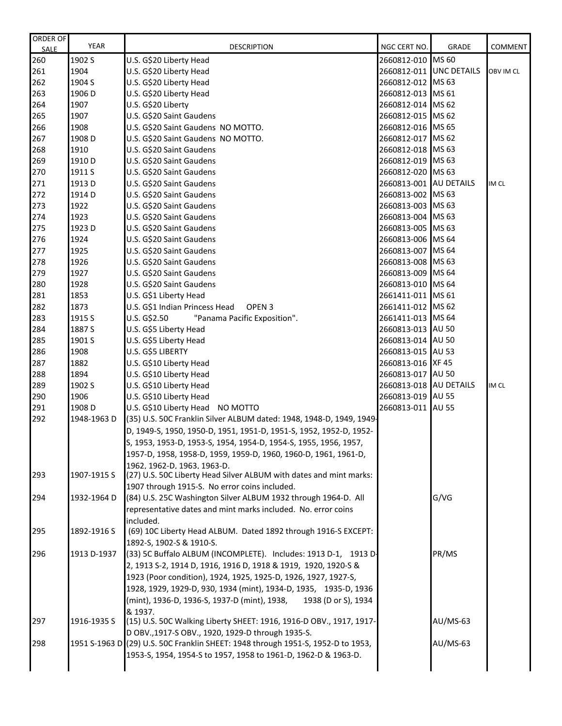| ORDER OF<br><b>SALE</b> | <b>YEAR</b> | <b>DESCRIPTION</b>                                                                                              | NGC CERT NO.            | <b>GRADE</b> | <b>COMMENT</b> |
|-------------------------|-------------|-----------------------------------------------------------------------------------------------------------------|-------------------------|--------------|----------------|
| 260                     | 1902 S      | U.S. G\$20 Liberty Head                                                                                         | 2660812-010 MS 60       |              |                |
| 261                     | 1904        | U.S. G\$20 Liberty Head                                                                                         | 2660812-011 UNC DETAILS |              | OBV IM CL      |
| 262                     | 1904 S      | U.S. G\$20 Liberty Head                                                                                         | 2660812-012 MS 63       |              |                |
| 263                     | 1906 D      | U.S. G\$20 Liberty Head                                                                                         | 2660812-013 MS 61       |              |                |
| 264                     | 1907        | U.S. G\$20 Liberty                                                                                              | 2660812-014 MS 62       |              |                |
| 265                     | 1907        | U.S. G\$20 Saint Gaudens                                                                                        | 2660812-015 MS 62       |              |                |
| 266                     | 1908        | U.S. G\$20 Saint Gaudens NO MOTTO.                                                                              | 2660812-016 MS 65       |              |                |
| 267                     | 1908 D      | U.S. G\$20 Saint Gaudens NO MOTTO.                                                                              | 2660812-017 MS 62       |              |                |
| 268                     | 1910        | U.S. G\$20 Saint Gaudens                                                                                        | 2660812-018 MS 63       |              |                |
| 269                     | 1910 D      | U.S. G\$20 Saint Gaudens                                                                                        | 2660812-019 MS 63       |              |                |
| 270                     | 1911 S      | U.S. G\$20 Saint Gaudens                                                                                        | 2660812-020 MS 63       |              |                |
| 271                     | 1913 D      | U.S. G\$20 Saint Gaudens                                                                                        | 2660813-001 AU DETAILS  |              | IM CL          |
| 272                     | 1914 D      | U.S. G\$20 Saint Gaudens                                                                                        | 2660813-002 MS 63       |              |                |
| 273                     | 1922        | U.S. G\$20 Saint Gaudens                                                                                        | 2660813-003 MS 63       |              |                |
| 274                     | 1923        | U.S. G\$20 Saint Gaudens                                                                                        | 2660813-004 MS 63       |              |                |
| 275                     | 1923 D      | U.S. G\$20 Saint Gaudens                                                                                        | 2660813-005 MS 63       |              |                |
| 276                     | 1924        | U.S. G\$20 Saint Gaudens                                                                                        | 2660813-006 MS 64       |              |                |
| 277                     | 1925        | U.S. G\$20 Saint Gaudens                                                                                        | 2660813-007 MS 64       |              |                |
| 278                     | 1926        | U.S. G\$20 Saint Gaudens                                                                                        | 2660813-008 MS 63       |              |                |
| 279                     | 1927        | U.S. G\$20 Saint Gaudens                                                                                        | 2660813-009 MS 64       |              |                |
| 280                     | 1928        | U.S. G\$20 Saint Gaudens                                                                                        | 2660813-010 MS 64       |              |                |
| 281                     | 1853        | U.S. G\$1 Liberty Head                                                                                          | 2661411-011 MS 61       |              |                |
| 282                     | 1873        | U.S. G\$1 Indian Princess Head<br>OPEN <sub>3</sub>                                                             | 2661411-012 MS 62       |              |                |
| 283                     | 1915 S      | U.S. G\$2.50<br>"Panama Pacific Exposition".                                                                    | 2661411-013 MS 64       |              |                |
| 284                     | 1887 S      | U.S. G\$5 Liberty Head                                                                                          | 2660813-013 AU 50       |              |                |
| 285                     | 1901 S      | U.S. G\$5 Liberty Head                                                                                          | 2660813-014 AU 50       |              |                |
| 286                     | 1908        | U.S. G\$5 LIBERTY                                                                                               | 2660813-015 AU 53       |              |                |
| 287                     | 1882        | U.S. G\$10 Liberty Head                                                                                         | 2660813-016 XF 45       |              |                |
| 288                     | 1894        | U.S. G\$10 Liberty Head                                                                                         | 2660813-017 AU 50       |              |                |
| 289                     | 1902 S      | U.S. G\$10 Liberty Head                                                                                         | 2660813-018 AU DETAILS  |              | IM CL          |
| 290                     | 1906        | U.S. G\$10 Liberty Head                                                                                         | 2660813-019 AU 55       |              |                |
| 291                     | 1908 D      | U.S. G\$10 Liberty Head NO MOTTO                                                                                | 2660813-011 AU 55       |              |                |
| 292                     | 1948-1963 D | (35) U.S. 50C Franklin Silver ALBUM dated: 1948, 1948-D, 1949, 1949-                                            |                         |              |                |
|                         |             | D, 1949-S, 1950, 1950-D, 1951, 1951-D, 1951-S, 1952, 1952-D, 1952-                                              |                         |              |                |
|                         |             | S. 1953. 1953-D. 1953-S. 1954. 1954-D. 1954-S. 1955. 1956. 1957.                                                |                         |              |                |
|                         |             | 1957-D, 1958, 1958-D, 1959, 1959-D, 1960, 1960-D, 1961, 1961-D,                                                 |                         |              |                |
|                         |             | 1962, 1962-D, 1963, 1963-D.                                                                                     |                         |              |                |
| 293                     | 1907-1915 S | (27) U.S. 50C Liberty Head Silver ALBUM with dates and mint marks:                                              |                         |              |                |
| 294                     | 1932-1964 D | 1907 through 1915-S. No error coins included.<br>(84) U.S. 25C Washington Silver ALBUM 1932 through 1964-D. All |                         | G/VG         |                |
|                         |             | representative dates and mint marks included. No. error coins                                                   |                         |              |                |
|                         |             | included.                                                                                                       |                         |              |                |
| 295                     | 1892-1916 S | (69) 10C Liberty Head ALBUM. Dated 1892 through 1916-S EXCEPT:                                                  |                         |              |                |
|                         |             | 1892-S, 1902-S & 1910-S.                                                                                        |                         |              |                |
| 296                     | 1913 D-1937 | (33) 5C Buffalo ALBUM (INCOMPLETE). Includes: 1913 D-1, 1913 D-                                                 |                         | PR/MS        |                |
|                         |             | 2, 1913 S-2, 1914 D, 1916, 1916 D, 1918 & 1919, 1920, 1920-S &                                                  |                         |              |                |
|                         |             | 1923 (Poor condition), 1924, 1925, 1925-D, 1926, 1927, 1927-S,                                                  |                         |              |                |
|                         |             | 1928, 1929, 1929-D, 930, 1934 (mint), 1934-D, 1935, 1935-D, 1936                                                |                         |              |                |
|                         |             | (mint), 1936-D, 1936-S, 1937-D (mint), 1938,<br>1938 (D or S), 1934                                             |                         |              |                |
|                         |             | & 1937.                                                                                                         |                         |              |                |
| 297                     | 1916-1935 S | (15) U.S. 50C Walking Liberty SHEET: 1916, 1916-D OBV., 1917, 1917-                                             |                         | $AU/MS-63$   |                |
|                         |             | D OBV., 1917-S OBV., 1920, 1929-D through 1935-S.                                                               |                         |              |                |
| 298                     |             | 1951 S-1963 D (29) U.S. 50C Franklin SHEET: 1948 through 1951-S, 1952-D to 1953,                                |                         | $AU/MS-63$   |                |
|                         |             | 1953-S, 1954, 1954-S to 1957, 1958 to 1961-D, 1962-D & 1963-D.                                                  |                         |              |                |
|                         |             |                                                                                                                 |                         |              |                |
|                         |             |                                                                                                                 |                         |              |                |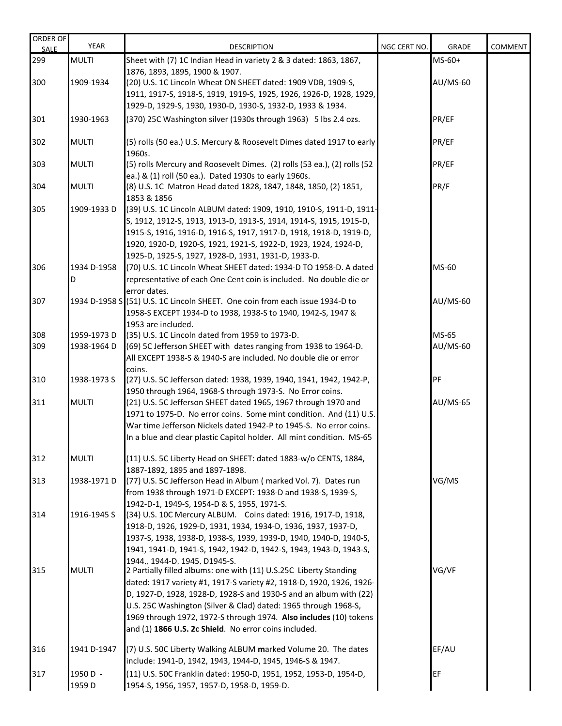| ORDER OF<br><b>SALE</b> | <b>YEAR</b>  | <b>DESCRIPTION</b>                                                                                                                 | NGC CERT NO. | <b>GRADE</b>    | <b>COMMENT</b> |
|-------------------------|--------------|------------------------------------------------------------------------------------------------------------------------------------|--------------|-----------------|----------------|
| 299                     | <b>MULTI</b> | Sheet with (7) 1C Indian Head in variety 2 & 3 dated: 1863, 1867,                                                                  |              | $MS-60+$        |                |
|                         |              | 1876, 1893, 1895, 1900 & 1907.                                                                                                     |              |                 |                |
| 300                     | 1909-1934    | (20) U.S. 1C Lincoln Wheat ON SHEET dated: 1909 VDB, 1909-S,                                                                       |              | AU/MS-60        |                |
|                         |              | 1911, 1917-S, 1918-S, 1919, 1919-S, 1925, 1926, 1926-D, 1928, 1929,                                                                |              |                 |                |
|                         |              | 1929-D, 1929-S, 1930, 1930-D, 1930-S, 1932-D, 1933 & 1934.                                                                         |              |                 |                |
| 301                     | 1930-1963    | (370) 25C Washington silver (1930s through 1963) 5 lbs 2.4 ozs.                                                                    |              | PR/EF           |                |
|                         |              |                                                                                                                                    |              |                 |                |
| 302                     | <b>MULTI</b> | (5) rolls (50 ea.) U.S. Mercury & Roosevelt Dimes dated 1917 to early                                                              |              | PR/EF           |                |
|                         | <b>MULTI</b> | 1960s.                                                                                                                             |              | PR/EF           |                |
| 303                     |              | (5) rolls Mercury and Roosevelt Dimes. (2) rolls (53 ea.), (2) rolls (52<br>ea.) & (1) roll (50 ea.). Dated 1930s to early 1960s.  |              |                 |                |
| 304                     | <b>MULTI</b> | (8) U.S. 1C Matron Head dated 1828, 1847, 1848, 1850, (2) 1851,                                                                    |              | PR/F            |                |
|                         |              | 1853 & 1856                                                                                                                        |              |                 |                |
| 305                     | 1909-1933D   | (39) U.S. 1C Lincoln ALBUM dated: 1909, 1910, 1910-S, 1911-D, 1911-                                                                |              |                 |                |
|                         |              | S, 1912, 1912-S, 1913, 1913-D, 1913-S, 1914, 1914-S, 1915, 1915-D,                                                                 |              |                 |                |
|                         |              | 1915-S, 1916, 1916-D, 1916-S, 1917, 1917-D, 1918, 1918-D, 1919-D,                                                                  |              |                 |                |
|                         |              | 1920, 1920-D, 1920-S, 1921, 1921-S, 1922-D, 1923, 1924, 1924-D,                                                                    |              |                 |                |
|                         |              | 1925-D, 1925-S, 1927, 1928-D, 1931, 1931-D, 1933-D.                                                                                |              |                 |                |
| 306                     | 1934 D-1958  | (70) U.S. 1C Lincoln Wheat SHEET dated: 1934-D TO 1958-D. A dated                                                                  |              | MS-60           |                |
|                         | D            | representative of each One Cent coin is included. No double die or                                                                 |              |                 |                |
|                         |              | error dates.                                                                                                                       |              |                 |                |
| 307                     |              | 1934 D-1958 S (51) U.S. 1C Lincoln SHEET. One coin from each issue 1934-D to                                                       |              | <b>AU/MS-60</b> |                |
|                         |              | 1958-S EXCEPT 1934-D to 1938, 1938-S to 1940, 1942-S, 1947 &                                                                       |              |                 |                |
|                         |              | 1953 are included.                                                                                                                 |              |                 |                |
| 308                     | 1959-1973D   | (35) U.S. 1C Lincoln dated from 1959 to 1973-D.                                                                                    |              | MS-65           |                |
| 309                     | 1938-1964 D  | (69) 5C Jefferson SHEET with dates ranging from 1938 to 1964-D.<br>All EXCEPT 1938-S & 1940-S are included. No double die or error |              | AU/MS-60        |                |
|                         |              | coins.                                                                                                                             |              |                 |                |
| 310                     | 1938-1973 S  | (27) U.S. 5C Jefferson dated: 1938, 1939, 1940, 1941, 1942, 1942-P,                                                                |              | PF              |                |
|                         |              | 1950 through 1964, 1968-S through 1973-S. No Error coins.                                                                          |              |                 |                |
| 311                     | <b>MULTI</b> | (21) U.S. 5C Jefferson SHEET dated 1965, 1967 through 1970 and                                                                     |              | <b>AU/MS-65</b> |                |
|                         |              | 1971 to 1975-D. No error coins. Some mint condition. And (11) U.S.                                                                 |              |                 |                |
|                         |              | War time Jefferson Nickels dated 1942-P to 1945-S. No error coins.                                                                 |              |                 |                |
|                         |              | In a blue and clear plastic Capitol holder. All mint condition. MS-65                                                              |              |                 |                |
|                         |              |                                                                                                                                    |              |                 |                |
| 312                     | <b>MULTI</b> | (11) U.S. 5C Liberty Head on SHEET: dated 1883-w/o CENTS, 1884,                                                                    |              |                 |                |
| 313                     | 1938-1971 D  | 1887-1892, 1895 and 1897-1898.<br>(77) U.S. 5C Jefferson Head in Album (marked Vol. 7). Dates run                                  |              | VG/MS           |                |
|                         |              | from 1938 through 1971-D EXCEPT: 1938-D and 1938-S, 1939-S,                                                                        |              |                 |                |
|                         |              | 1942-D-1, 1949-S, 1954-D & S, 1955, 1971-S.                                                                                        |              |                 |                |
| 314                     | 1916-1945 S  | (34) U.S. 10C Mercury ALBUM. Coins dated: 1916, 1917-D, 1918,                                                                      |              |                 |                |
|                         |              | 1918-D, 1926, 1929-D, 1931, 1934, 1934-D, 1936, 1937, 1937-D,                                                                      |              |                 |                |
|                         |              | 1937-S, 1938, 1938-D, 1938-S, 1939, 1939-D, 1940, 1940-D, 1940-S,                                                                  |              |                 |                |
|                         |              | 1941, 1941-D, 1941-S, 1942, 1942-D, 1942-S, 1943, 1943-D, 1943-S,                                                                  |              |                 |                |
|                         |              | 1944., 1944-D, 1945, D1945-S.                                                                                                      |              |                 |                |
| 315                     | <b>MULTI</b> | 2 Partially filled albums: one with (11) U.S.25C Liberty Standing                                                                  |              | VG/VF           |                |
|                         |              | dated: 1917 variety #1, 1917-S variety #2, 1918-D, 1920, 1926, 1926-                                                               |              |                 |                |
|                         |              | D, 1927-D, 1928, 1928-D, 1928-S and 1930-S and an album with (22)                                                                  |              |                 |                |
|                         |              | U.S. 25C Washington (Silver & Clad) dated: 1965 through 1968-S,                                                                    |              |                 |                |
|                         |              | 1969 through 1972, 1972-S through 1974. Also includes (10) tokens<br>and (1) 1866 U.S. 2c Shield. No error coins included.         |              |                 |                |
|                         |              |                                                                                                                                    |              |                 |                |
| 316                     | 1941 D-1947  | (7) U.S. 50C Liberty Walking ALBUM marked Volume 20. The dates                                                                     |              | EF/AU           |                |
|                         |              | include: 1941-D, 1942, 1943, 1944-D, 1945, 1946-S & 1947.                                                                          |              |                 |                |
| 317                     | 1950 D -     | (11) U.S. 50C Franklin dated: 1950-D, 1951, 1952, 1953-D, 1954-D,                                                                  |              | EF              |                |
|                         | 1959 D       | 1954-S, 1956, 1957, 1957-D, 1958-D, 1959-D.                                                                                        |              |                 |                |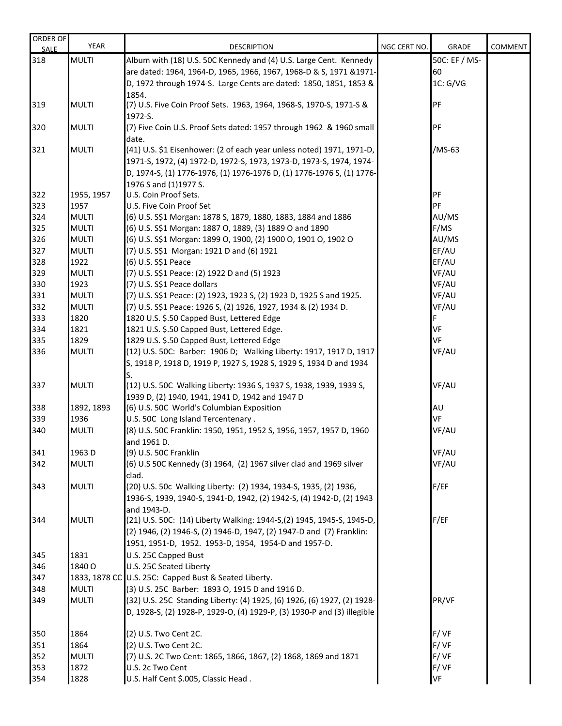| <b>ORDER OF</b><br><b>SALE</b> | <b>YEAR</b>        | <b>DESCRIPTION</b>                                                              | NGC CERT NO. | GRADE         | <b>COMMENT</b> |
|--------------------------------|--------------------|---------------------------------------------------------------------------------|--------------|---------------|----------------|
| 318                            | <b>MULTI</b>       | Album with (18) U.S. 50C Kennedy and (4) U.S. Large Cent. Kennedy               |              | 50C: EF / MS- |                |
|                                |                    | are dated: 1964, 1964-D, 1965, 1966, 1967, 1968-D & S, 1971 & 1971-             |              | 60            |                |
|                                |                    | D, 1972 through 1974-S. Large Cents are dated: 1850, 1851, 1853 &               |              | 1C: G/VG      |                |
|                                |                    | 1854.                                                                           |              |               |                |
| 319                            | <b>MULTI</b>       | (7) U.S. Five Coin Proof Sets. 1963, 1964, 1968-S, 1970-S, 1971-S &             |              | PF            |                |
|                                |                    | 1972-S.                                                                         |              |               |                |
| 320                            | <b>MULTI</b>       | (7) Five Coin U.S. Proof Sets dated: 1957 through 1962 & 1960 small             |              | PF            |                |
|                                |                    | date.                                                                           |              |               |                |
| 321                            | <b>MULTI</b>       | (41) U.S. \$1 Eisenhower: (2 of each year unless noted) 1971, 1971-D,           |              | /MS-63        |                |
|                                |                    | 1971-S, 1972, (4) 1972-D, 1972-S, 1973, 1973-D, 1973-S, 1974, 1974-             |              |               |                |
|                                |                    | D, 1974-S, (1) 1776-1976, (1) 1976-1976 D, (1) 1776-1976 S, (1) 1776-           |              |               |                |
| 322                            | 1955, 1957         | 1976 S and (1)1977 S.<br>U.S. Coin Proof Sets.                                  |              | PF            |                |
| 323                            | 1957               | U.S. Five Coin Proof Set                                                        |              | PF            |                |
| 324                            | <b>MULTI</b>       | (6) U.S. S\$1 Morgan: 1878 S, 1879, 1880, 1883, 1884 and 1886                   |              | AU/MS         |                |
| 325                            | <b>MULTI</b>       | (6) U.S. S\$1 Morgan: 1887 O, 1889, (3) 1889 O and 1890                         |              | F/MS          |                |
| 326                            | <b>MULTI</b>       | (6) U.S. S\$1 Morgan: 1899 O, 1900, (2) 1900 O, 1901 O, 1902 O                  |              | AU/MS         |                |
| 327                            | <b>MULTI</b>       | (7) U.S. S\$1 Morgan: 1921 D and (6) 1921                                       |              | EF/AU         |                |
| 328                            | 1922               | (6) U.S. S\$1 Peace                                                             |              | EF/AU         |                |
| 329                            | <b>MULTI</b>       | (7) U.S. S\$1 Peace: (2) 1922 D and (5) 1923                                    |              | VF/AU         |                |
| 330                            | 1923               | (7) U.S. S\$1 Peace dollars                                                     |              | VF/AU         |                |
| 331                            | <b>MULTI</b>       | (7) U.S. S\$1 Peace: (2) 1923, 1923 S, (2) 1923 D, 1925 S and 1925.             |              | VF/AU         |                |
| 332                            | <b>MULTI</b>       | (7) U.S. S\$1 Peace: 1926 S, (2) 1926, 1927, 1934 & (2) 1934 D.                 |              | VF/AU         |                |
| 333                            | 1820               | 1820 U.S. \$.50 Capped Bust, Lettered Edge                                      |              | F             |                |
| 334                            | 1821               | 1821 U.S. \$.50 Capped Bust, Lettered Edge.                                     |              | VF            |                |
| 335                            | 1829               | 1829 U.S. \$.50 Capped Bust, Lettered Edge                                      |              | VF            |                |
| 336                            | <b>MULTI</b>       | (12) U.S. 50C: Barber: 1906 D; Walking Liberty: 1917, 1917 D, 1917              |              | VF/AU         |                |
|                                |                    | S, 1918 P, 1918 D, 1919 P, 1927 S, 1928 S, 1929 S, 1934 D and 1934              |              |               |                |
|                                |                    | S.                                                                              |              |               |                |
| 337                            | <b>MULTI</b>       | (12) U.S. 50C Walking Liberty: 1936 S, 1937 S, 1938, 1939, 1939 S,              |              | VF/AU         |                |
|                                |                    | 1939 D, (2) 1940, 1941, 1941 D, 1942 and 1947 D                                 |              |               |                |
| 338<br>339                     | 1892, 1893<br>1936 | (6) U.S. 50C World's Columbian Exposition<br>U.S. 50C Long Island Tercentenary. |              | AU<br>VF      |                |
| 340                            | <b>MULTI</b>       | (8) U.S. 50C Franklin: 1950, 1951, 1952 S, 1956, 1957, 1957 D, 1960             |              | VF/AU         |                |
|                                |                    | and 1961 D.                                                                     |              |               |                |
| 341                            | 1963 D             | (9) U.S. 50C Franklin                                                           |              | VF/AU         |                |
| 342                            | <b>MULTI</b>       | (6) U.S 50C Kennedy (3) 1964, (2) 1967 silver clad and 1969 silver              |              | VF/AU         |                |
|                                |                    | clad.                                                                           |              |               |                |
| 343                            | <b>MULTI</b>       | (20) U.S. 50c Walking Liberty: (2) 1934, 1934-S, 1935, (2) 1936,                |              | F/EF          |                |
|                                |                    | 1936-S, 1939, 1940-S, 1941-D, 1942, (2) 1942-S, (4) 1942-D, (2) 1943            |              |               |                |
|                                |                    | and 1943-D.                                                                     |              |               |                |
| 344                            | <b>MULTI</b>       | (21) U.S. 50C: (14) Liberty Walking: 1944-S,(2) 1945, 1945-S, 1945-D,           |              | F/EF          |                |
|                                |                    | (2) 1946, (2) 1946-S, (2) 1946-D, 1947, (2) 1947-D and (7) Franklin:            |              |               |                |
|                                |                    | 1951, 1951-D, 1952. 1953-D, 1954, 1954-D and 1957-D.                            |              |               |                |
| 345                            | 1831               | U.S. 25C Capped Bust                                                            |              |               |                |
| 346                            | 1840 O             | U.S. 25C Seated Liberty                                                         |              |               |                |
| 347                            |                    | 1833, 1878 CC U.S. 25C: Capped Bust & Seated Liberty.                           |              |               |                |
| 348                            | <b>MULTI</b>       | (3) U.S. 25C Barber: 1893 O, 1915 D and 1916 D.                                 |              |               |                |
| 349                            | <b>MULTI</b>       | (32) U.S. 25C Standing Liberty: (4) 1925, (6) 1926, (6) 1927, (2) 1928-         |              | PR/VF         |                |
|                                |                    | D, 1928-S, (2) 1928-P, 1929-O, (4) 1929-P, (3) 1930-P and (3) illegible         |              |               |                |
| 350                            | 1864               | (2) U.S. Two Cent 2C.                                                           |              | F/VF          |                |
| 351                            | 1864               | (2) U.S. Two Cent 2C.                                                           |              | F/VF          |                |
| 352                            | <b>MULTI</b>       | (7) U.S. 2C Two Cent: 1865, 1866, 1867, (2) 1868, 1869 and 1871                 |              | F/VF          |                |
| 353                            | 1872               | U.S. 2c Two Cent                                                                |              | F/VF          |                |
| 354                            | 1828               | U.S. Half Cent \$.005, Classic Head.                                            |              | VF            |                |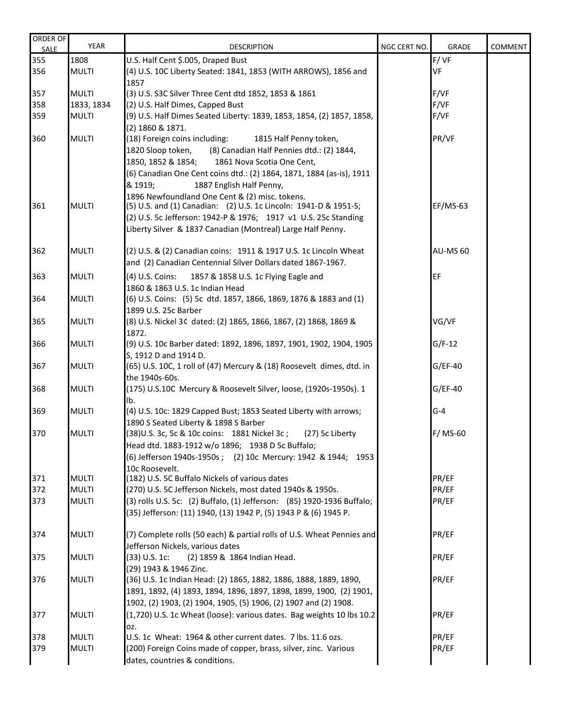| <b>ORDER OF</b><br><b>SALE</b> | <b>YEAR</b>                  | <b>DESCRIPTION</b>                                                                                                                                                                                                                                                                          | NGC CERT NO. | GRADE           | COMMENT |
|--------------------------------|------------------------------|---------------------------------------------------------------------------------------------------------------------------------------------------------------------------------------------------------------------------------------------------------------------------------------------|--------------|-----------------|---------|
| 355                            | 1808                         | U.S. Half Cent \$.005, Draped Bust                                                                                                                                                                                                                                                          |              | F/VF            |         |
| 356                            | <b>MULTI</b>                 | (4) U.S. 10C Liberty Seated: 1841, 1853 (WITH ARROWS), 1856 and<br>1857                                                                                                                                                                                                                     |              | VF              |         |
| 357                            | <b>MULTI</b>                 | (3) U.S. S3C Silver Three Cent dtd 1852, 1853 & 1861                                                                                                                                                                                                                                        |              | F/VF            |         |
| 358                            | 1833, 1834                   | (2) U.S. Half Dimes, Capped Bust                                                                                                                                                                                                                                                            |              | F/VF            |         |
| 359                            | <b>MULTI</b>                 | (9) U.S. Half Dimes Seated Liberty: 1839, 1853, 1854, (2) 1857, 1858,                                                                                                                                                                                                                       |              | F/VF            |         |
|                                |                              | (2) 1860 & 1871.                                                                                                                                                                                                                                                                            |              |                 |         |
| 360                            | <b>MULTI</b>                 | (18) Foreign coins including:<br>1815 Half Penny token,<br>(8) Canadian Half Pennies dtd.: (2) 1844,<br>1820 Sloop token,<br>1850, 1852 & 1854;<br>1861 Nova Scotia One Cent,<br>(6) Canadian One Cent coins dtd.: (2) 1864, 1871, 1884 (as-is), 1911                                       |              | PR/VF           |         |
| 361                            | <b>MULTI</b>                 | & 1919;<br>1887 English Half Penny,<br>1896 Newfoundland One Cent & (2) misc. tokens.<br>(5) U.S. and (1) Canadian: (2) U.S. 1c Lincoln: 1941-D & 1951-S;<br>(2) U.S. 5c Jefferson: 1942-P & 1976; 1917 v1 U.S. 25c Standing<br>Liberty Silver & 1837 Canadian (Montreal) Large Half Penny. |              | $EF/MS-63$      |         |
| 362                            | <b>MULTI</b>                 | (2) U.S. & (2) Canadian coins: 1911 & 1917 U.S. 1c Lincoln Wheat<br>and (2) Canadian Centennial Silver Dollars dated 1867-1967.                                                                                                                                                             |              | <b>AU-MS 60</b> |         |
| 363                            | <b>MULTI</b>                 | (4) U.S. Coins: 1857 & 1858 U.S. 1c Flying Eagle and<br>1860 & 1863 U.S. 1c Indian Head                                                                                                                                                                                                     |              | EF              |         |
| 364                            | <b>MULTI</b>                 | (6) U.S. Coins: (5) 5c dtd. 1857, 1866, 1869, 1876 & 1883 and (1)<br>1899 U.S. 25c Barber                                                                                                                                                                                                   |              |                 |         |
| 365                            | <b>MULTI</b>                 | (8) U.S. Nickel 3¢ dated: (2) 1865, 1866, 1867, (2) 1868, 1869 &<br>1872.                                                                                                                                                                                                                   |              | VG/VF           |         |
| 366                            | <b>MULTI</b>                 | (9) U.S. 10c Barber dated: 1892, 1896, 1897, 1901, 1902, 1904, 1905<br>S, 1912 D and 1914 D.                                                                                                                                                                                                |              | $G/F-12$        |         |
| 367                            | <b>MULTI</b>                 | (65) U.S. 10C, 1 roll of (47) Mercury & (18) Roosevelt dimes, dtd. in<br>the 1940s-60s.                                                                                                                                                                                                     |              | $G/EF-40$       |         |
| 368                            | <b>MULTI</b>                 | (175) U.S.10C Mercury & Roosevelt Silver, loose, (1920s-1950s). 1<br>Ib.                                                                                                                                                                                                                    |              | $G/EF-40$       |         |
| 369                            | <b>MULTI</b>                 | (4) U.S. 10c: 1829 Capped Bust; 1853 Seated Liberty with arrows;<br>1890 S Seated Liberty & 1898 S Barber                                                                                                                                                                                   |              | $G-4$           |         |
| 370                            | <b>MULTI</b>                 | (38) U.S. 3c, 5c & 10c coins: 1881 Nickel 3c; (27) 5c Liberty<br>Head dtd. 1883-1912 w/o 1896; 1938 D 5c Buffalo;<br>(6) Jefferson 1940s-1950s ; (2) 10c Mercury: 1942 & 1944; 1953                                                                                                         |              | F/MS-60         |         |
| 371                            | <b>MULTI</b>                 | 10c Roosevelt.<br>(182) U.S. 5C Buffalo Nickels of various dates                                                                                                                                                                                                                            |              | PR/EF           |         |
| 372                            | <b>MULTI</b>                 | (270) U.S. 5C Jefferson Nickels, most dated 1940s & 1950s.                                                                                                                                                                                                                                  |              | PR/EF           |         |
| 373                            | <b>MULTI</b>                 | (3) rolls U.S. 5c: (2) Buffalo, (1) Jefferson: (85) 1920-1936 Buffalo;<br>(35) Jefferson: (11) 1940, (13) 1942 P, (5) 1943 P & (6) 1945 P.                                                                                                                                                  |              | PR/EF           |         |
| 374                            | <b>MULTI</b>                 | (7) Complete rolls (50 each) & partial rolls of U.S. Wheat Pennies and<br>Jefferson Nickels, various dates                                                                                                                                                                                  |              | PR/EF           |         |
| 375                            | <b>MULTI</b>                 | $(33)$ U.S. 1c:<br>(2) 1859 & 1864 Indian Head.<br>(29) 1943 & 1946 Zinc.                                                                                                                                                                                                                   |              | PR/EF           |         |
| 376                            | <b>MULTI</b>                 | (36) U.S. 1c Indian Head: (2) 1865, 1882, 1886, 1888, 1889, 1890,<br>1891, 1892, (4) 1893, 1894, 1896, 1897, 1898, 1899, 1900, (2) 1901,<br>1902, (2) 1903, (2) 1904, 1905, (5) 1906, (2) 1907 and (2) 1908.                                                                                |              | PR/EF           |         |
| 377                            | <b>MULTI</b>                 | (1,720) U.S. 1c Wheat (loose): various dates. Bag weights 10 lbs 10.2<br>OZ.                                                                                                                                                                                                                |              | PR/EF           |         |
| 378<br>379                     | <b>MULTI</b><br><b>MULTI</b> | U.S. 1c Wheat: 1964 & other current dates. 7 lbs. 11.6 ozs.<br>(200) Foreign Coins made of copper, brass, silver, zinc. Various<br>dates, countries & conditions.                                                                                                                           |              | PR/EF<br>PR/EF  |         |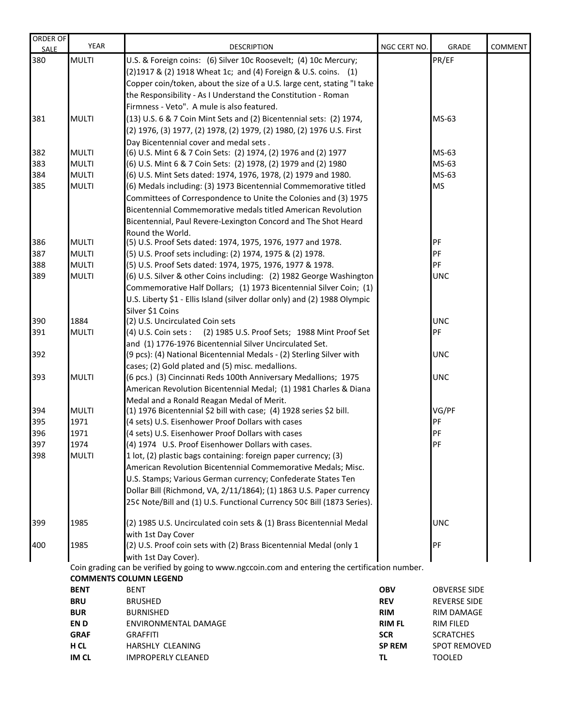| ORDER OF           | <b>YEAR</b>                                                                                     | <b>DESCRIPTION</b>                                                                                                               | NGC CERT NO.  | <b>GRADE</b>        | <b>COMMENT</b> |  |  |
|--------------------|-------------------------------------------------------------------------------------------------|----------------------------------------------------------------------------------------------------------------------------------|---------------|---------------------|----------------|--|--|
| <b>SALE</b><br>380 | <b>MULTI</b>                                                                                    | U.S. & Foreign coins: (6) Silver 10c Roosevelt; (4) 10c Mercury;                                                                 |               | PR/EF               |                |  |  |
|                    |                                                                                                 |                                                                                                                                  |               |                     |                |  |  |
|                    |                                                                                                 | (2) 1917 & (2) 1918 Wheat 1c; and (4) Foreign & U.S. coins. (1)                                                                  |               |                     |                |  |  |
|                    |                                                                                                 | Copper coin/token, about the size of a U.S. large cent, stating "I take                                                          |               |                     |                |  |  |
|                    |                                                                                                 | the Responsibility - As I Understand the Constitution - Roman                                                                    |               |                     |                |  |  |
|                    |                                                                                                 | Firmness - Veto". A mule is also featured.                                                                                       |               |                     |                |  |  |
| 381                | <b>MULTI</b>                                                                                    | (13) U.S. 6 & 7 Coin Mint Sets and (2) Bicentennial sets: (2) 1974,                                                              |               | MS-63               |                |  |  |
|                    |                                                                                                 | (2) 1976, (3) 1977, (2) 1978, (2) 1979, (2) 1980, (2) 1976 U.S. First                                                            |               |                     |                |  |  |
|                    |                                                                                                 | Day Bicentennial cover and medal sets.                                                                                           |               |                     |                |  |  |
| 382                | <b>MULTI</b>                                                                                    | (6) U.S. Mint 6 & 7 Coin Sets: (2) 1974, (2) 1976 and (2) 1977                                                                   |               | MS-63               |                |  |  |
| 383                | <b>MULTI</b>                                                                                    | (6) U.S. Mint 6 & 7 Coin Sets: (2) 1978, (2) 1979 and (2) 1980                                                                   |               | MS-63               |                |  |  |
| 384                | <b>MULTI</b>                                                                                    | (6) U.S. Mint Sets dated: 1974, 1976, 1978, (2) 1979 and 1980.                                                                   |               | MS-63               |                |  |  |
| 385                | <b>MULTI</b>                                                                                    | (6) Medals including: (3) 1973 Bicentennial Commemorative titled                                                                 |               | <b>MS</b>           |                |  |  |
|                    |                                                                                                 | Committees of Correspondence to Unite the Colonies and (3) 1975                                                                  |               |                     |                |  |  |
|                    |                                                                                                 | Bicentennial Commemorative medals titled American Revolution                                                                     |               |                     |                |  |  |
|                    |                                                                                                 | Bicentennial, Paul Revere-Lexington Concord and The Shot Heard                                                                   |               |                     |                |  |  |
|                    |                                                                                                 | Round the World.                                                                                                                 |               |                     |                |  |  |
| 386                | <b>MULTI</b>                                                                                    | (5) U.S. Proof Sets dated: 1974, 1975, 1976, 1977 and 1978.                                                                      |               | PF<br>PF            |                |  |  |
| 387<br>388         | <b>MULTI</b><br><b>MULTI</b>                                                                    | (5) U.S. Proof sets including: (2) 1974, 1975 & (2) 1978.                                                                        |               | PF                  |                |  |  |
| 389                | <b>MULTI</b>                                                                                    | (5) U.S. Proof Sets dated: 1974, 1975, 1976, 1977 & 1978.<br>(6) U.S. Silver & other Coins including: (2) 1982 George Washington |               | <b>UNC</b>          |                |  |  |
|                    |                                                                                                 | Commemorative Half Dollars; (1) 1973 Bicentennial Silver Coin; (1)                                                               |               |                     |                |  |  |
|                    |                                                                                                 | U.S. Liberty \$1 - Ellis Island (silver dollar only) and (2) 1988 Olympic                                                        |               |                     |                |  |  |
|                    |                                                                                                 | Silver \$1 Coins                                                                                                                 |               |                     |                |  |  |
| 390                | 1884                                                                                            | (2) U.S. Uncirculated Coin sets                                                                                                  |               | <b>UNC</b>          |                |  |  |
| 391                | <b>MULTI</b>                                                                                    | (4) U.S. Coin sets: (2) 1985 U.S. Proof Sets; 1988 Mint Proof Set                                                                |               | PF                  |                |  |  |
|                    |                                                                                                 | and (1) 1776-1976 Bicentennial Silver Uncirculated Set.                                                                          |               |                     |                |  |  |
| 392                |                                                                                                 | (9 pcs): (4) National Bicentennial Medals - (2) Sterling Silver with                                                             |               | <b>UNC</b>          |                |  |  |
|                    |                                                                                                 | cases; (2) Gold plated and (5) misc. medallions.                                                                                 |               |                     |                |  |  |
| 393                | <b>MULTI</b>                                                                                    | (6 pcs.) (3) Cincinnati Reds 100th Anniversary Medallions; 1975                                                                  |               | <b>UNC</b>          |                |  |  |
|                    |                                                                                                 | American Revolution Bicentennial Medal; (1) 1981 Charles & Diana                                                                 |               |                     |                |  |  |
|                    |                                                                                                 | Medal and a Ronald Reagan Medal of Merit.                                                                                        |               |                     |                |  |  |
| 394                | <b>MULTI</b>                                                                                    | (1) 1976 Bicentennial \$2 bill with case; (4) 1928 series \$2 bill.                                                              |               | VG/PF               |                |  |  |
| 395                | 1971                                                                                            | (4 sets) U.S. Eisenhower Proof Dollars with cases                                                                                |               | PF                  |                |  |  |
| 396                | 1971                                                                                            | (4 sets) U.S. Eisenhower Proof Dollars with cases                                                                                |               | PF                  |                |  |  |
| 397                | 1974                                                                                            | (4) 1974 U.S. Proof Eisenhower Dollars with cases                                                                                |               | PF                  |                |  |  |
| 398                | <b>MULTI</b>                                                                                    | 1 lot, (2) plastic bags containing: foreign paper currency; (3)                                                                  |               |                     |                |  |  |
|                    |                                                                                                 | American Revolution Bicentennial Commemorative Medals; Misc.                                                                     |               |                     |                |  |  |
|                    |                                                                                                 | U.S. Stamps; Various German currency; Confederate States Ten                                                                     |               |                     |                |  |  |
|                    |                                                                                                 | Dollar Bill (Richmond, VA, 2/11/1864); (1) 1863 U.S. Paper currency                                                              |               |                     |                |  |  |
|                    |                                                                                                 | 25¢ Note/Bill and (1) U.S. Functional Currency 50¢ Bill (1873 Series).                                                           |               |                     |                |  |  |
| 399                | 1985                                                                                            | (2) 1985 U.S. Uncirculated coin sets & (1) Brass Bicentennial Medal                                                              |               | <b>UNC</b>          |                |  |  |
|                    |                                                                                                 | with 1st Day Cover                                                                                                               |               |                     |                |  |  |
| 400                | 1985                                                                                            | (2) U.S. Proof coin sets with (2) Brass Bicentennial Medal (only 1                                                               |               | PF                  |                |  |  |
|                    |                                                                                                 | with 1st Day Cover).                                                                                                             |               |                     |                |  |  |
|                    | Coin grading can be verified by going to www.ngccoin.com and entering the certification number. |                                                                                                                                  |               |                     |                |  |  |
|                    | <b>COMMENTS COLUMN LEGEND</b>                                                                   |                                                                                                                                  |               |                     |                |  |  |
|                    | <b>BENT</b>                                                                                     | <b>BENT</b>                                                                                                                      | <b>OBV</b>    | <b>OBVERSE SIDE</b> |                |  |  |
|                    | <b>BRU</b>                                                                                      | <b>BRUSHED</b>                                                                                                                   | <b>REV</b>    | <b>REVERSE SIDE</b> |                |  |  |
|                    | <b>BUR</b>                                                                                      | <b>BURNISHED</b>                                                                                                                 | <b>RIM</b>    | <b>RIM DAMAGE</b>   |                |  |  |
|                    | EN D                                                                                            | ENVIRONMENTAL DAMAGE                                                                                                             | <b>RIM FL</b> | <b>RIM FILED</b>    |                |  |  |
|                    | <b>GRAF</b>                                                                                     | <b>GRAFFITI</b>                                                                                                                  | <b>SCR</b>    | <b>SCRATCHES</b>    |                |  |  |
|                    | H CL                                                                                            | HARSHLY CLEANING                                                                                                                 | <b>SP REM</b> | <b>SPOT REMOVED</b> |                |  |  |

**IM CL** IMPROPERLY CLEANED **TL** TOOLED